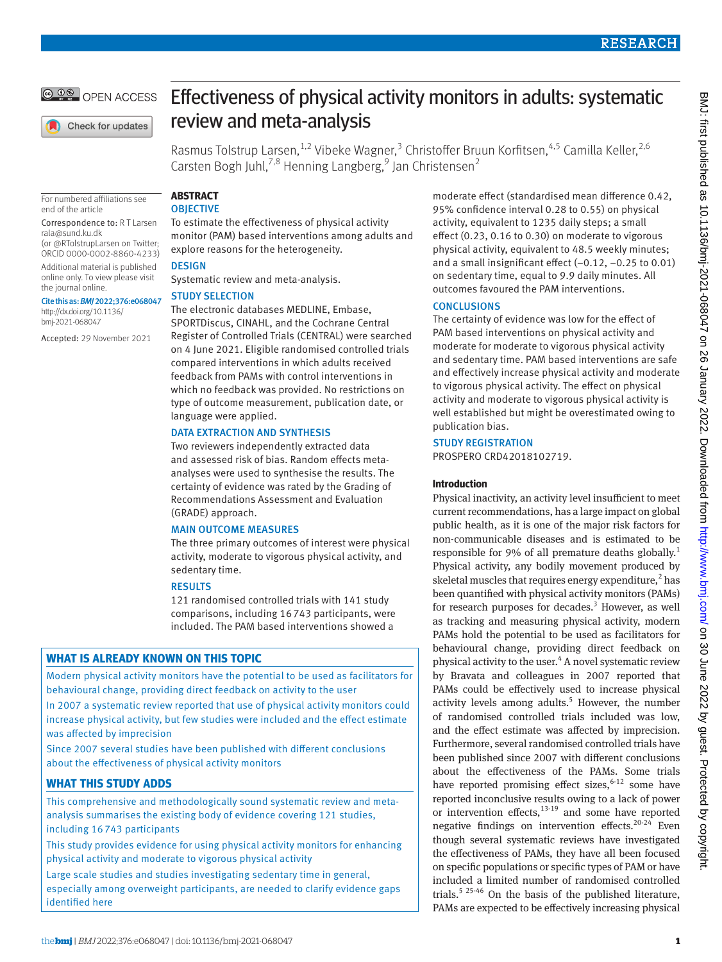

Check for updates

For numbered affiliations see

(or [@RTolstrupLarsen](https://twitter.com/RTolstrupLarsen) on Twitter; ORCID [0000-0002-8860-4233\)](https://orcid.org/0000-0002-8860-4233) Additional material is published online only. To view please visit

Cite this as: *BMJ*2022;376:e068047 [http://dx.doi.org/10.1136/](http://dx.doi.org/10.1136/bmj-2021-066768) [bmj-2021-068047](http://dx.doi.org/10.1136/bmj-2021-066768)

Accepted: 29 November 2021

end of the article

[rala@sund.ku.dk](mailto:rala@sund.ku.dk)

the journal online.

Effectiveness of physical activity monitors in adults: systematic review and meta-analysis

Rasmus Tolstrup Larsen,<sup>1,2</sup> Vibeke Wagner,<sup>3</sup> Christoffer Bruun Korfitsen,<sup>4,5</sup> Camilla Keller,<sup>2,6</sup> Carsten Bogh Juhl,<sup>7,8</sup> Henning Langberg,<sup>9</sup> Jan Christensen<sup>2</sup>

# **ABSTRACT**

# **OBJECTIVE** Correspondence to: R T Larsen

To estimate the effectiveness of physical activity monitor (PAM) based interventions among adults and explore reasons for the heterogeneity.

# **DESIGN**

Systematic review and meta-analysis.

# STUDY SELECTION

The electronic databases MEDLINE, Embase, SPORTDiscus, CINAHL, and the Cochrane Central Register of Controlled Trials (CENTRAL) were searched on 4 June 2021. Eligible randomised controlled trials compared interventions in which adults received feedback from PAMs with control interventions in which no feedback was provided. No restrictions on type of outcome measurement, publication date, or language were applied.

# DATA EXTRACTION AND SYNTHESIS

Two reviewers independently extracted data and assessed risk of bias. Random effects metaanalyses were used to synthesise the results. The certainty of evidence was rated by the Grading of Recommendations Assessment and Evaluation (GRADE) approach.

# MAIN OUTCOME MEASURES

The three primary outcomes of interest were physical activity, moderate to vigorous physical activity, and sedentary time.

# RESULTS

121 randomised controlled trials with 141 study comparisons, including 16743 participants, were included. The PAM based interventions showed a

# **WHAT IS ALREADY KNOWN ON THIS TOPIC**

Modern physical activity monitors have the potential to be used as facilitators for behavioural change, providing direct feedback on activity to the user

In 2007 a systematic review reported that use of physical activity monitors could increase physical activity, but few studies were included and the effect estimate was affected by imprecision

Since 2007 several studies have been published with different conclusions about the effectiveness of physical activity monitors

# **WHAT THIS STUDY ADDS**

This comprehensive and methodologically sound systematic review and metaanalysis summarises the existing body of evidence covering 121 studies, including 16 743 participants

This study provides evidence for using physical activity monitors for enhancing physical activity and moderate to vigorous physical activity

Large scale studies and studies investigating sedentary time in general, especially among overweight participants, are needed to clarify evidence gaps identified here

moderate effect (standardised mean difference 0.42, 95% confidence interval 0.28 to 0.55) on physical activity, equivalent to 1235 daily steps; a small effect (0.23, 0.16 to 0.30) on moderate to vigorous physical activity, equivalent to 48.5 weekly minutes; and a small insignificant effect (−0.12, −0.25 to 0.01) on sedentary time, equal to 9.9 daily minutes. All outcomes favoured the PAM interventions.

# **CONCLUSIONS**

The certainty of evidence was low for the effect of PAM based interventions on physical activity and moderate for moderate to vigorous physical activity and sedentary time. PAM based interventions are safe and effectively increase physical activity and moderate to vigorous physical activity. The effect on physical activity and moderate to vigorous physical activity is well established but might be overestimated owing to publication bias.

# STUDY REGISTRATION

PROSPERO CRD42018102719.

# **Introduction**

Physical inactivity, an activity level insufficient to meet current recommendations, has a large impact on global public health, as it is one of the major risk factors for non-communicable diseases and is estimated to be responsible for 9% of all premature deaths globally.<sup>1</sup> Physical activity, any bodily movement produced by skeletal muscles that requires energy expenditure, $<sup>2</sup>$  has</sup> been quantified with physical activity monitors (PAMs) for research purposes for decades. $3$  However, as well as tracking and measuring physical activity, modern PAMs hold the potential to be used as facilitators for behavioural change, providing direct feedback on physical activity to the user.<sup>4</sup> A novel systematic review by Bravata and colleagues in 2007 reported that PAMs could be effectively used to increase physical activity levels among adults.<sup>5</sup> However, the number of randomised controlled trials included was low, and the effect estimate was affected by imprecision. Furthermore, several randomised controlled trials have been published since 2007 with different conclusions about the effectiveness of the PAMs. Some trials have reported promising effect sizes,  $6-12$  some have reported inconclusive results owing to a lack of power or intervention effects, $13-19$  and some have reported negative findings on intervention effects.<sup>20-24</sup> Even though several systematic reviews have investigated the effectiveness of PAMs, they have all been focused on specific populations or specific types of PAM or have included a limited number of randomised controlled trials.<sup>5 25-46</sup> On the basis of the published literature, PAMs are expected to be effectively increasing physical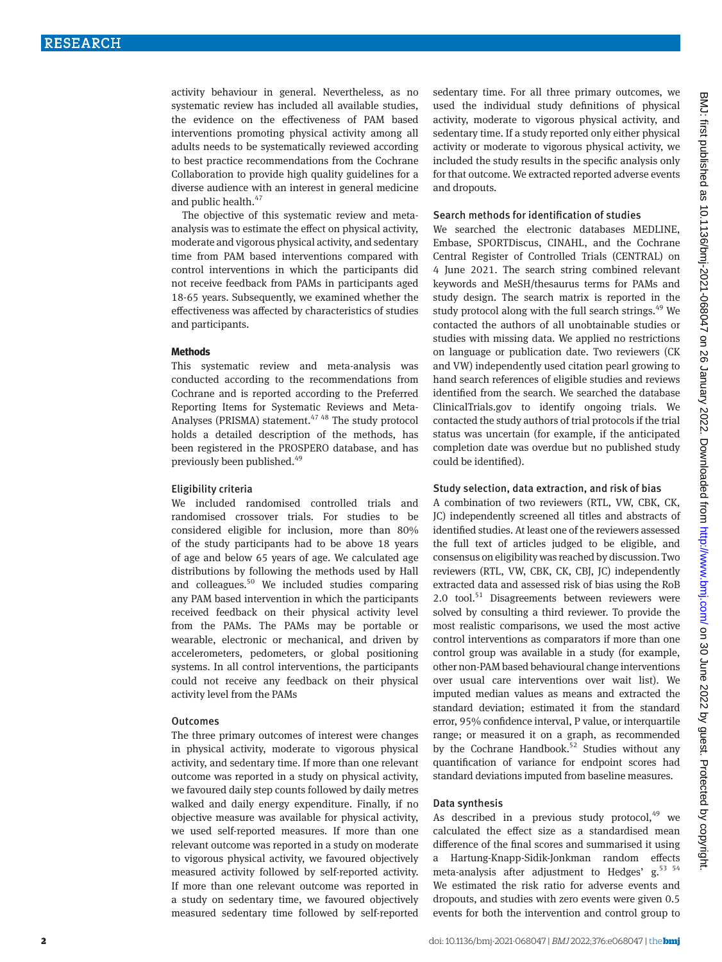activity behaviour in general. Nevertheless, as no systematic review has included all available studies, the evidence on the effectiveness of PAM based interventions promoting physical activity among all adults needs to be systematically reviewed according to best practice recommendations from the Cochrane Collaboration to provide high quality guidelines for a diverse audience with an interest in general medicine and public health. $47$ 

The objective of this systematic review and metaanalysis was to estimate the effect on physical activity, moderate and vigorous physical activity, and sedentary time from PAM based interventions compared with control interventions in which the participants did not receive feedback from PAMs in participants aged 18-65 years. Subsequently, we examined whether the effectiveness was affected by characteristics of studies and participants.

#### **Methods**

This systematic review and meta-analysis was conducted according to the recommendations from Cochrane and is reported according to the Preferred Reporting Items for Systematic Reviews and Meta-Analyses (PRISMA) statement. $4748$  The study protocol holds a detailed description of the methods, has been registered in the PROSPERO database, and has previously been published.<sup>49</sup>

#### Eligibility criteria

We included randomised controlled trials and randomised crossover trials. For studies to be considered eligible for inclusion, more than 80% of the study participants had to be above 18 years of age and below 65 years of age. We calculated age distributions by following the methods used by Hall and colleagues.<sup>50</sup> We included studies comparing any PAM based intervention in which the participants received feedback on their physical activity level from the PAMs. The PAMs may be portable or wearable, electronic or mechanical, and driven by accelerometers, pedometers, or global positioning systems. In all control interventions, the participants could not receive any feedback on their physical activity level from the PAMs

# **Outcomes**

The three primary outcomes of interest were changes in physical activity, moderate to vigorous physical activity, and sedentary time. If more than one relevant outcome was reported in a study on physical activity, we favoured daily step counts followed by daily metres walked and daily energy expenditure. Finally, if no objective measure was available for physical activity, we used self-reported measures. If more than one relevant outcome was reported in a study on moderate to vigorous physical activity, we favoured objectively measured activity followed by self-reported activity. If more than one relevant outcome was reported in a study on sedentary time, we favoured objectively measured sedentary time followed by self-reported sedentary time. For all three primary outcomes, we used the individual study definitions of physical activity, moderate to vigorous physical activity, and sedentary time. If a study reported only either physical activity or moderate to vigorous physical activity, we included the study results in the specific analysis only for that outcome. We extracted reported adverse events and dropouts.

#### Search methods for identification of studies

We searched the electronic databases MEDLINE, Embase, SPORTDiscus, CINAHL, and the Cochrane Central Register of Controlled Trials (CENTRAL) on 4 June 2021. The search string combined relevant keywords and MeSH/thesaurus terms for PAMs and study design. The search matrix is reported in the study protocol along with the full search strings. $49$  We contacted the authors of all unobtainable studies or studies with missing data. We applied no restrictions on language or publication date. Two reviewers (CK and VW) independently used citation pearl growing to hand search references of eligible studies and reviews identified from the search. We searched the database ClinicalTrials.gov to identify ongoing trials. We contacted the study authors of trial protocols if the trial status was uncertain (for example, if the anticipated completion date was overdue but no published study could be identified).

# Study selection, data extraction, and risk of bias

A combination of two reviewers (RTL, VW, CBK, CK, JC) independently screened all titles and abstracts of identified studies. At least one of the reviewers assessed the full text of articles judged to be eligible, and consensus on eligibility was reached by discussion. Two reviewers (RTL, VW, CBK, CK, CBJ, JC) independently extracted data and assessed risk of bias using the RoB 2.0 tool. $51$  Disagreements between reviewers were solved by consulting a third reviewer. To provide the most realistic comparisons, we used the most active control interventions as comparators if more than one control group was available in a study (for example, other non-PAM based behavioural change interventions over usual care interventions over wait list). We imputed median values as means and extracted the standard deviation; estimated it from the standard error, 95% confidence interval, P value, or interquartile range; or measured it on a graph, as recommended by the Cochrane Handbook.<sup>52</sup> Studies without any quantification of variance for endpoint scores had standard deviations imputed from baseline measures.

# Data synthesis

As described in a previous study protocol, $49$  we calculated the effect size as a standardised mean difference of the final scores and summarised it using a Hartung-Knapp-Sidik-Jonkman random effects meta-analysis after adjustment to Hedges'  $g<sub>1</sub>$ <sup>53 54</sup> We estimated the risk ratio for adverse events and dropouts, and studies with zero events were given 0.5 events for both the intervention and control group to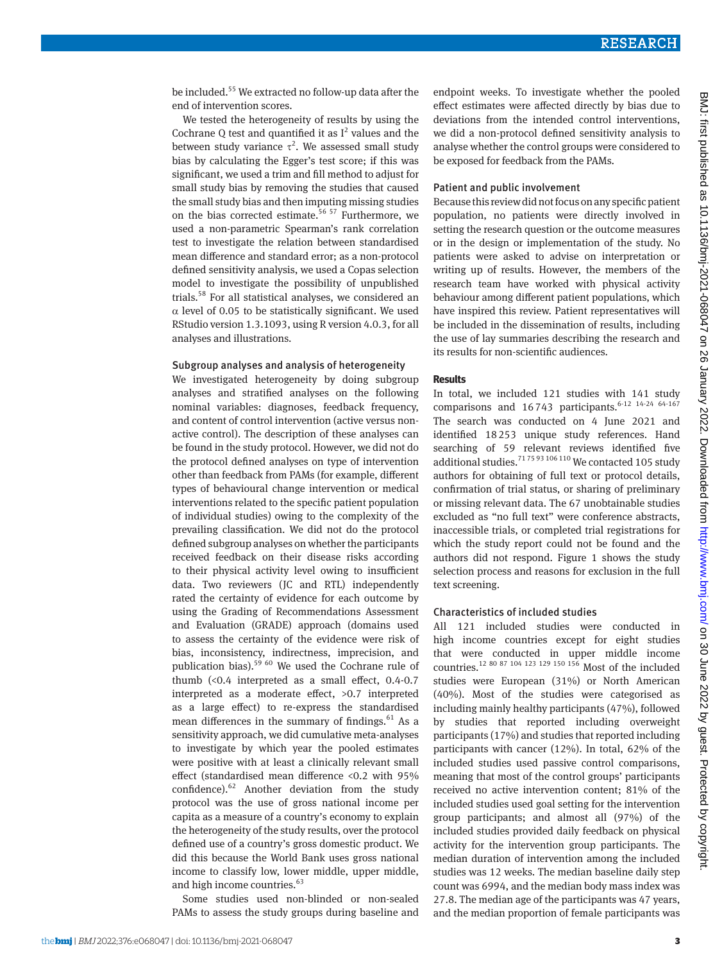be included.55 We extracted no follow-up data after the end of intervention scores.

We tested the heterogeneity of results by using the Cochrane  $Q$  test and quantified it as  $I^2$  values and the between study variance  $\tau^2$ . We assessed small study bias by calculating the Egger's test score; if this was significant, we used a trim and fill method to adjust for small study bias by removing the studies that caused the small study bias and then imputing missing studies on the bias corrected estimate.<sup>56 57</sup> Furthermore, we used a non-parametric Spearman's rank correlation test to investigate the relation between standardised mean difference and standard error; as a non-protocol defined sensitivity analysis, we used a Copas selection model to investigate the possibility of unpublished trials.58 For all statistical analyses, we considered an  $\alpha$  level of 0.05 to be statistically significant. We used RStudio version 1.3.1093, using R version 4.0.3, for all analyses and illustrations.

#### Subgroup analyses and analysis of heterogeneity

We investigated heterogeneity by doing subgroup analyses and stratified analyses on the following nominal variables: diagnoses, feedback frequency, and content of control intervention (active versus nonactive control). The description of these analyses can be found in the study protocol. However, we did not do the protocol defined analyses on type of intervention other than feedback from PAMs (for example, different types of behavioural change intervention or medical interventions related to the specific patient population of individual studies) owing to the complexity of the prevailing classification. We did not do the protocol defined subgroup analyses on whether the participants received feedback on their disease risks according to their physical activity level owing to insufficient data. Two reviewers (JC and RTL) independently rated the certainty of evidence for each outcome by using the Grading of Recommendations Assessment and Evaluation (GRADE) approach (domains used to assess the certainty of the evidence were risk of bias, inconsistency, indirectness, imprecision, and publication bias).59 60 We used the Cochrane rule of thumb (<0.4 interpreted as a small effect, 0.4-0.7 interpreted as a moderate effect, >0.7 interpreted as a large effect) to re-express the standardised mean differences in the summary of findings. $61$  As a sensitivity approach, we did cumulative meta-analyses to investigate by which year the pooled estimates were positive with at least a clinically relevant small effect (standardised mean difference <0.2 with 95% confidence).62 Another deviation from the study protocol was the use of gross national income per capita as a measure of a country's economy to explain the heterogeneity of the study results, over the protocol defined use of a country's gross domestic product. We did this because the World Bank uses gross national income to classify low, lower middle, upper middle, and high income countries.<sup>63</sup>

Some studies used non-blinded or non-sealed PAMs to assess the study groups during baseline and endpoint weeks. To investigate whether the pooled effect estimates were affected directly by bias due to deviations from the intended control interventions, we did a non-protocol defined sensitivity analysis to analyse whether the control groups were considered to be exposed for feedback from the PAMs.

### Patient and public involvement

Because this review did not focus on any specific patient population, no patients were directly involved in setting the research question or the outcome measures or in the design or implementation of the study. No patients were asked to advise on interpretation or writing up of results. However, the members of the research team have worked with physical activity behaviour among different patient populations, which have inspired this review. Patient representatives will be included in the dissemination of results, including the use of lay summaries describing the research and its results for non-scientific audiences.

#### **Results**

In total, we included 121 studies with 141 study comparisons and  $16743$  participants.<sup>6-12 14-24 64-167</sup> The search was conducted on 4 June 2021 and identified 18253 unique study references. Hand searching of 59 relevant reviews identified five additional studies.<sup>7175 93</sup> 106 110 We contacted 105 study authors for obtaining of full text or protocol details, confirmation of trial status, or sharing of preliminary or missing relevant data. The 67 unobtainable studies excluded as "no full text" were conference abstracts, inaccessible trials, or completed trial registrations for which the study report could not be found and the authors did not respond. Figure 1 shows the study selection process and reasons for exclusion in the full text screening.

# Characteristics of included studies

All 121 included studies were conducted in high income countries except for eight studies that were conducted in upper middle income countries.<sup>12 80 87</sup> <sup>104 123</sup> <sup>129</sup> <sup>150</sup> <sup>156</sup> Most of the included studies were European (31%) or North American (40%). Most of the studies were categorised as including mainly healthy participants (47%), followed by studies that reported including overweight participants (17%) and studies that reported including participants with cancer (12%). In total, 62% of the included studies used passive control comparisons, meaning that most of the control groups' participants received no active intervention content; 81% of the included studies used goal setting for the intervention group participants; and almost all (97%) of the included studies provided daily feedback on physical activity for the intervention group participants. The median duration of intervention among the included studies was 12 weeks. The median baseline daily step count was 6994, and the median body mass index was 27.8. The median age of the participants was 47 years, and the median proportion of female participants was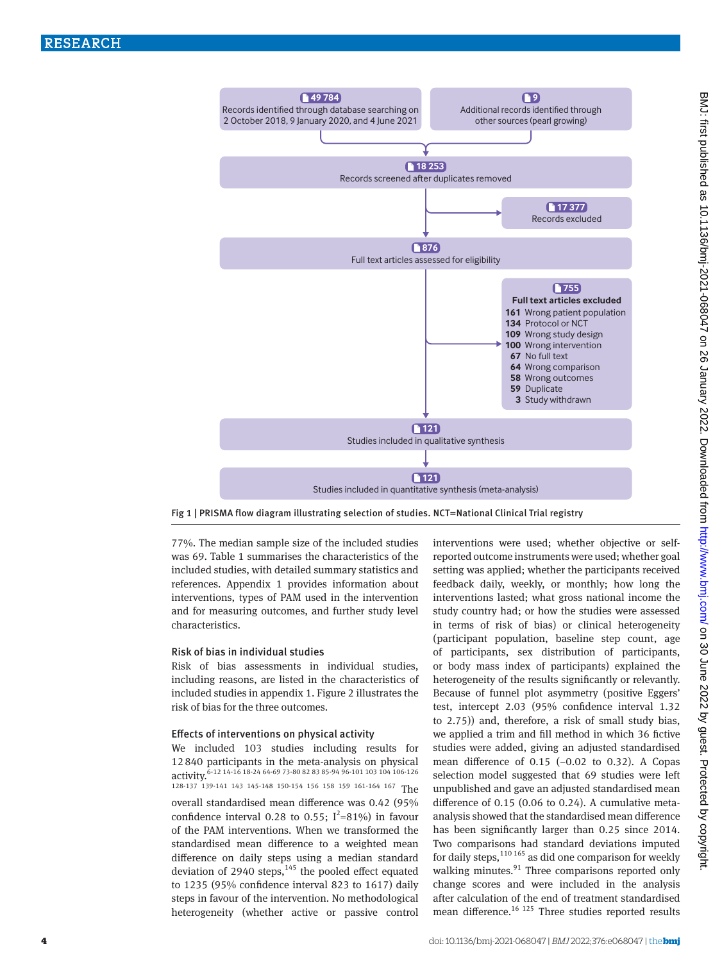

Fig 1 | PRISMA flow diagram illustrating selection of studies. NCT=National Clinical Trial registry

77%. The median sample size of the included studies was 69. Table 1 summarises the characteristics of the included studies, with detailed summary statistics and references. Appendix 1 provides information about interventions, types of PAM used in the intervention and for measuring outcomes, and further study level characteristics.

# Risk of bias in individual studies

Risk of bias assessments in individual studies, including reasons, are listed in the characteristics of included studies in appendix 1. Figure 2 illustrates the risk of bias for the three outcomes.

#### Effects of interventions on physical activity

We included 103 studies including results for 12840 participants in the meta-analysis on physical  $\frac{1}{2}$  activity.<sup>6-12</sup> 14-16 18-24 64-69 73-80 82 83 85-94 96-101 103 104 106-126 128-137 139-141 143 145-148 150-154 156 158 159 161-164 167 The overall standardised mean difference was 0.42 (95% confidence interval 0.28 to 0.55;  $I^2 = 81\%$  in favour of the PAM interventions. When we transformed the standardised mean difference to a weighted mean difference on daily steps using a median standard deviation of 2940 steps, $145$  the pooled effect equated to 1235 (95% confidence interval 823 to 1617) daily steps in favour of the intervention. No methodological heterogeneity (whether active or passive control

interventions were used; whether objective or selfreported outcome instruments were used; whether goal setting was applied; whether the participants received feedback daily, weekly, or monthly; how long the interventions lasted; what gross national income the study country had; or how the studies were assessed in terms of risk of bias) or clinical heterogeneity (participant population, baseline step count, age of participants, sex distribution of participants, or body mass index of participants) explained the heterogeneity of the results significantly or relevantly. Because of funnel plot asymmetry (positive Eggers' test, intercept 2.03 (95% confidence interval 1.32 to 2.75)) and, therefore, a risk of small study bias, we applied a trim and fill method in which 36 fictive studies were added, giving an adjusted standardised mean difference of 0.15 (−0.02 to 0.32). A Copas selection model suggested that 69 studies were left unpublished and gave an adjusted standardised mean difference of 0.15 (0.06 to 0.24). A cumulative metaanalysis showed that the standardised mean difference has been significantly larger than 0.25 since 2014. Two comparisons had standard deviations imputed for daily steps, $110 165$  as did one comparison for weekly walking minutes. $91$  Three comparisons reported only change scores and were included in the analysis after calculation of the end of treatment standardised mean difference.<sup>16 125</sup> Three studies reported results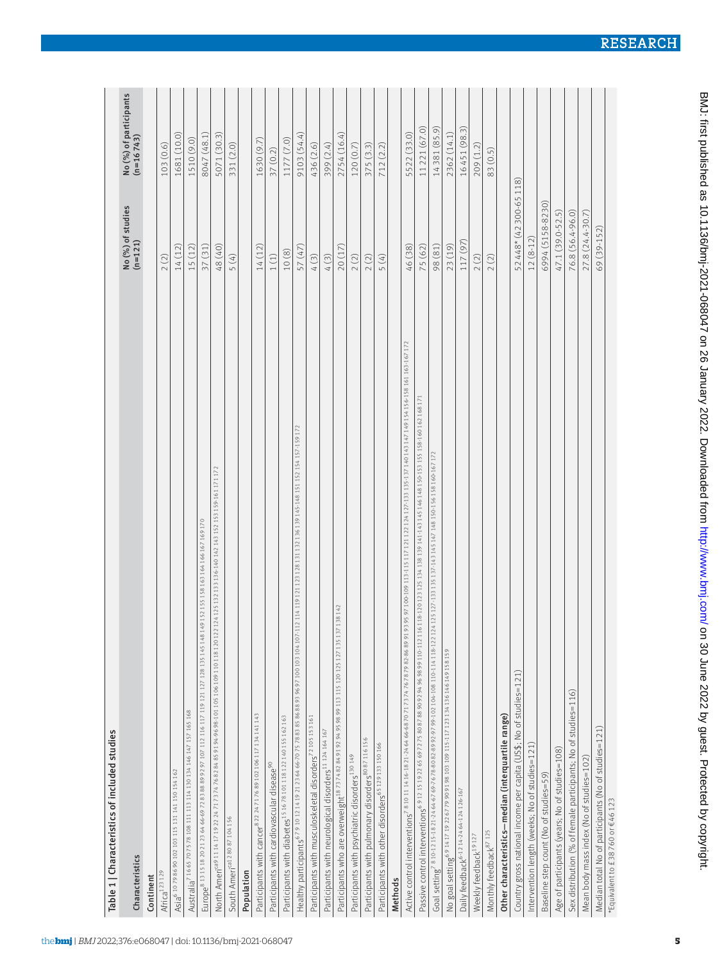| Table 1   Characteristics of included studies                                                                                                                                                     |                                          |                                     |
|---------------------------------------------------------------------------------------------------------------------------------------------------------------------------------------------------|------------------------------------------|-------------------------------------|
| Characteristics                                                                                                                                                                                   | No $\binom{96}{n}$ of studies<br>(n=121) | No (%) of participants<br>(n=16743) |
| Continent                                                                                                                                                                                         |                                          |                                     |
| Africa <sup>123</sup> 129                                                                                                                                                                         | 2(2)                                     | 103(0.6)                            |
| Asia 6 10 79 86 90 102 103 115 131 141 150 154 162                                                                                                                                                | 14(12)                                   | 1681 (10.0)                         |
| Australia <sup>7</sup> 16 65 70 75 78 108 111 113 114 130 134 146 147 157 165 168                                                                                                                 | 15 (12)                                  | 1510 (9.0)                          |
| (49152155158163164166167169170<br>Europe <sup>81315182021236466-69728388899297107112116117119121127128135145148</sup>                                                                             | 37 (31)                                  | 8047 (48.1)                         |
| 2124 125 132 133 136 140 142 143 152 153 159 161 171 172<br>North Ameri <sup>ca9</sup> 11 14 17 19 22 24 71 73 74 76 82 84 85 91 94-96 98-101 105 106 109 110 118 120 12:                         | 48 (40)                                  | 5071 (30.3)                         |
| South Ameri <sup>ca128087104156</sup>                                                                                                                                                             | 5(4)                                     | 331 (2.0)                           |
| Population                                                                                                                                                                                        |                                          |                                     |
| Participants with cancer <sup>8</sup> 2224717689 102106 117134141143                                                                                                                              | 14(12)                                   | 1630 (9.7)                          |
| Participants with cardiovascular disease <sup>90</sup>                                                                                                                                            | 1(1)                                     | 37(0.2)                             |
| Participants with diabetes 15 1678 101 118 122 140 155 162 163                                                                                                                                    | 10(8)                                    | 1177 (7.0)                          |
| 112 114 119 121 123 128 131 132 136 139 145-148 151 152 154 157-159 172<br>Healthy participants <sup>679101214192123646670757883858688939697100103104107-</sup>                                   | 57 (47)                                  | 9103 (54.4)                         |
| Participants with musculoskeletal disorders <sup>72</sup> 105 153 161                                                                                                                             | 4(3)                                     | 436 (2.6)                           |
| Participants with neurological disorders <sup>11 124</sup> 164 167                                                                                                                                | 4(3)                                     | 399 (2.4)                           |
| Participants who are overweight <sup>1873748284919294959899113115120125127135137138142</sup>                                                                                                      | 20(17)                                   | 2754 (16.4)                         |
| Participants with psychiatric disorders <sup>130 149</sup>                                                                                                                                        | 2(2)                                     | 120(0.7)                            |
| Participants with pulmonary disorders <sup>8087116156</sup>                                                                                                                                       | 2(2)                                     | 375(3.3)                            |
| Participants with other disorders <sup>65</sup> 129 133 150 166                                                                                                                                   | 5(4)                                     | 712(2.2)                            |
| Methods                                                                                                                                                                                           |                                          |                                     |
| 93 95 97 100-109 113-115 117 121 122 124 127-133 135-137 140 143 147 149 154 156-158 161 163-167 172<br>Active control interventions <sup>78</sup> 10111416-1821-246466-687071737476787982-868991 | 46 (38)                                  | 5522 (33.0)                         |
| Passive control interventions 691215192265697275808788909294969899110-11216118420123133134438139146148146148150-153155158-160162168171                                                            | 75 (62)                                  | 11221 (67.0)                        |
| Goal setting <sup>7810-1215-1821-2464-67698-7678902-99-99-0210-10-10-10-114118-122124125127-133135137-143145147148150-156158160-167172</sup>                                                      | 98 (81)                                  | 14381 (85.9)                        |
| No goal setting <sup>69</sup> 141719226779909198103109115-117123134136146149158159                                                                                                                | 23 (19)                                  | 2362 (14.1)                         |
| Daily feedback <sup>6-12</sup> 14-24 64-124 126-167                                                                                                                                               | 117 (97)                                 | 16451 (98.3)                        |
| Weekly feedback <sup>19</sup> <sup>127</sup>                                                                                                                                                      | 2(2)                                     | 209 (1.2)                           |
| Monthly feedback <sup>87125</sup>                                                                                                                                                                 | 2(2)                                     | 83 (0.5)                            |
| Other characteristics-median (interquartile range)                                                                                                                                                |                                          |                                     |
| Country gross national income per capita (US\$; No of studies=121)                                                                                                                                | 52448* (42300-65118)                     |                                     |
| Intervention length (weeks; No of studies=121)                                                                                                                                                    | $12(8-12)$                               |                                     |
| Baseline step count (No of studies=59)                                                                                                                                                            | 6994 (5158-8230)                         |                                     |
| Age of participants (years; No of studies=108)                                                                                                                                                    | 47.1 (39.0-52.5)                         |                                     |
| Sex distribution (% of female participants; No of studies=116)                                                                                                                                    | 76.8 (56.4-96.0)                         |                                     |
| Mean body mass index (No of studies=102)                                                                                                                                                          | 27.8 (24.4-30.7)                         |                                     |
| Median total No of participants (No of studies=121)                                                                                                                                               | 69 (39-152)                              |                                     |
| *Equivalent to £38760 or €46123                                                                                                                                                                   |                                          |                                     |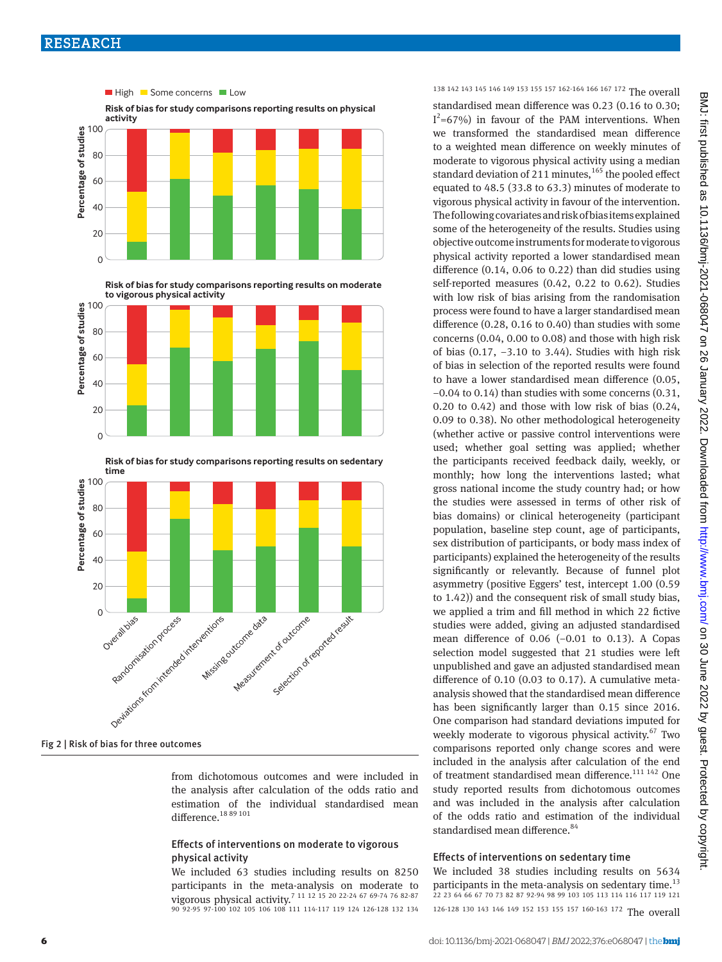

**Risk of bias for study comparisons reporting results on moderate to vigorous physical activity**





Fig 2 | Risk of bias for three outcomes

from dichotomous outcomes and were included in the analysis after calculation of the odds ratio and estimation of the individual standardised mean difference.<sup>18 89</sup><sup>101</sup>

# Effects of interventions on moderate to vigorous physical activity

We included 63 studies including results on 8250 participants in the meta-analysis on moderate to vigorous physical activity.7 11 12 15 20 22-24 67 69-74 76 82-87 90 92-95 97-100 102 105 106 108 111 114-117 119 124 126-128 132 134

# 138 142 143 145 146 149 153 155 157 162-164 166 167 172 The overall

standardised mean difference was 0.23 (0.16 to 0.30;  $I^2$ =67%) in favour of the PAM interventions. When we transformed the standardised mean difference to a weighted mean difference on weekly minutes of moderate to vigorous physical activity using a median standard deviation of 211 minutes, $165$  the pooled effect equated to 48.5 (33.8 to 63.3) minutes of moderate to vigorous physical activity in favour of the intervention. The following covariates and risk of bias items explained some of the heterogeneity of the results. Studies using objective outcome instruments for moderate to vigorous physical activity reported a lower standardised mean difference (0.14, 0.06 to 0.22) than did studies using self-reported measures (0.42, 0.22 to 0.62). Studies with low risk of bias arising from the randomisation process were found to have a larger standardised mean difference (0.28, 0.16 to 0.40) than studies with some concerns (0.04, 0.00 to 0.08) and those with high risk of bias (0.17, −3.10 to 3.44). Studies with high risk of bias in selection of the reported results were found to have a lower standardised mean difference (0.05, −0.04 to 0.14) than studies with some concerns (0.31, 0.20 to 0.42) and those with low risk of bias (0.24, 0.09 to 0.38). No other methodological heterogeneity (whether active or passive control interventions were used; whether goal setting was applied; whether the participants received feedback daily, weekly, or monthly; how long the interventions lasted; what gross national income the study country had; or how the studies were assessed in terms of other risk of bias domains) or clinical heterogeneity (participant population, baseline step count, age of participants, sex distribution of participants, or body mass index of participants) explained the heterogeneity of the results significantly or relevantly. Because of funnel plot asymmetry (positive Eggers' test, intercept 1.00 (0.59 to 1.42)) and the consequent risk of small study bias, we applied a trim and fill method in which 22 fictive studies were added, giving an adjusted standardised mean difference of 0.06 (−0.01 to 0.13). A Copas selection model suggested that 21 studies were left unpublished and gave an adjusted standardised mean difference of 0.10 (0.03 to 0.17). A cumulative metaanalysis showed that the standardised mean difference has been significantly larger than 0.15 since 2016. One comparison had standard deviations imputed for weekly moderate to vigorous physical activity. $67$  Two comparisons reported only change scores and were included in the analysis after calculation of the end of treatment standardised mean difference.<sup>111 142</sup> One study reported results from dichotomous outcomes and was included in the analysis after calculation of the odds ratio and estimation of the individual standardised mean difference.<sup>84</sup>

# Effects of interventions on sedentary time

We included 38 studies including results on 5634 participants in the meta-analysis on sedentary time.<sup>13</sup> 22 23 64 66 67 70 73 82 87 92-94 98 99 103 105 113 114 116 117 119 121 126-128 130 143 146 149 152 153 155 157 160-163 172 The overall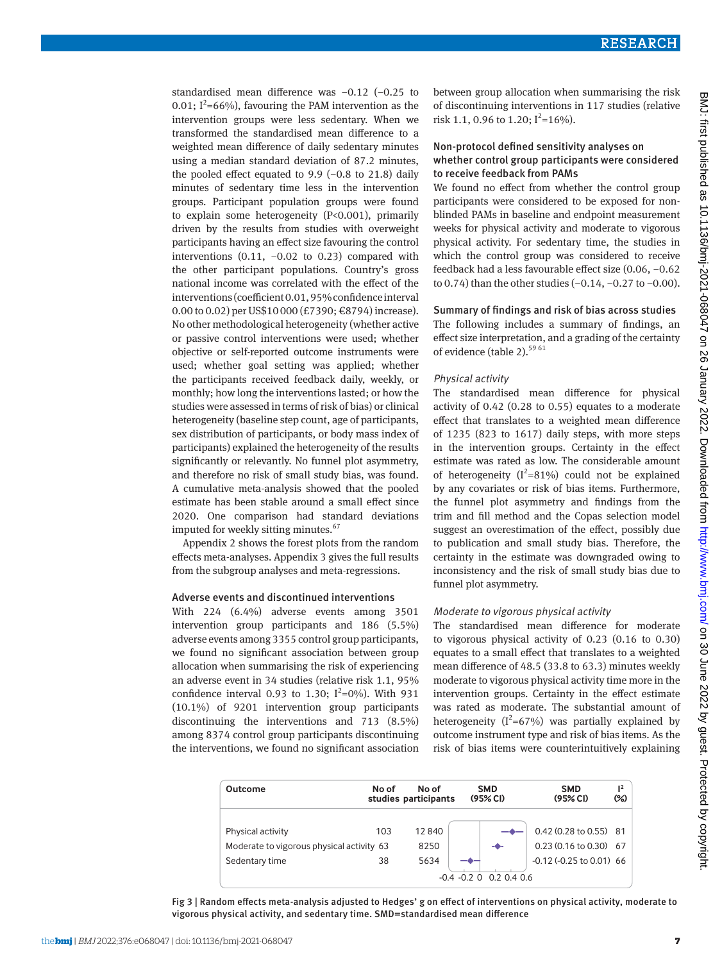standardised mean difference was −0.12 (−0.25 to 0.01;  $I^2$ =66%), favouring the PAM intervention as the intervention groups were less sedentary. When we transformed the standardised mean difference to a weighted mean difference of daily sedentary minutes using a median standard deviation of 87.2 minutes, the pooled effect equated to  $9.9$  (-0.8 to 21.8) daily minutes of sedentary time less in the intervention groups. Participant population groups were found to explain some heterogeneity (P<0.001), primarily driven by the results from studies with overweight participants having an effect size favouring the control interventions  $(0.11, -0.02)$  to 0.23) compared with the other participant populations. Country's gross national income was correlated with the effect of the interventions (coefficient 0.01, 95% confidence interval 0.00 to 0.02) per US\$10000 (£7390; €8794) increase). No other methodological heterogeneity (whether active or passive control interventions were used; whether objective or self-reported outcome instruments were used; whether goal setting was applied; whether the participants received feedback daily, weekly, or monthly; how long the interventions lasted; or how the studies were assessed in terms of risk of bias) or clinical heterogeneity (baseline step count, age of participants, sex distribution of participants, or body mass index of participants) explained the heterogeneity of the results significantly or relevantly. No funnel plot asymmetry, and therefore no risk of small study bias, was found. A cumulative meta-analysis showed that the pooled estimate has been stable around a small effect since 2020. One comparison had standard deviations imputed for weekly sitting minutes.<sup>67</sup>

Appendix 2 shows the forest plots from the random effects meta-analyses. Appendix 3 gives the full results from the subgroup analyses and meta-regressions.

# Adverse events and discontinued interventions

With 224 (6.4%) adverse events among 3501 intervention group participants and 186 (5.5%) adverse events among 3355 control group participants, we found no significant association between group allocation when summarising the risk of experiencing an adverse event in 34 studies (relative risk 1.1, 95% confidence interval 0.93 to 1.30;  $I^2=0\%$ ). With 931 (10.1%) of 9201 intervention group participants discontinuing the interventions and 713 (8.5%) among 8374 control group participants discontinuing the interventions, we found no significant association

between group allocation when summarising the risk of discontinuing interventions in 117 studies (relative risk 1.1, 0.96 to 1.20;  $I^2 = 16\%$ .

# Non-protocol defined sensitivity analyses on whether control group participants were considered to receive feedback from PAMs

We found no effect from whether the control group participants were considered to be exposed for nonblinded PAMs in baseline and endpoint measurement weeks for physical activity and moderate to vigorous physical activity. For sedentary time, the studies in which the control group was considered to receive feedback had a less favourable effect size (0.06, −0.62 to 0.74) than the other studies (−0.14, −0.27 to −0.00).

#### Summary of findings and risk of bias across studies

The following includes a summary of findings, an effect size interpretation, and a grading of the certainty of evidence (table 2).  $^{59\,61}$ 

### Physical activity

The standardised mean difference for physical activity of 0.42 (0.28 to 0.55) equates to a moderate effect that translates to a weighted mean difference of 1235 (823 to 1617) daily steps, with more steps in the intervention groups. Certainty in the effect estimate was rated as low. The considerable amount of heterogeneity ( $I^2$ =81%) could not be explained by any covariates or risk of bias items. Furthermore, the funnel plot asymmetry and findings from the trim and fill method and the Copas selection model suggest an overestimation of the effect, possibly due to publication and small study bias. Therefore, the certainty in the estimate was downgraded owing to inconsistency and the risk of small study bias due to funnel plot asymmetry.

#### Moderate to vigorous physical activity

The standardised mean difference for moderate to vigorous physical activity of 0.23 (0.16 to 0.30) equates to a small effect that translates to a weighted mean difference of 48.5 (33.8 to 63.3) minutes weekly moderate to vigorous physical activity time more in the intervention groups. Certainty in the effect estimate was rated as moderate. The substantial amount of heterogeneity  $(I^2=67\%)$  was partially explained by outcome instrument type and risk of bias items. As the risk of bias items were counterintuitively explaining

| Outcome                                   | No of | No of<br>studies participants |    | <b>SMD</b><br>(95% CI)     | <b>SMD</b><br>(95% CI)           | $\mathsf{I}^2$<br>(%) |
|-------------------------------------------|-------|-------------------------------|----|----------------------------|----------------------------------|-----------------------|
| Physical activity                         | 103   | 12840                         |    |                            | $0.42(0.28 \text{ to } 0.55)$ 81 |                       |
| Moderate to vigorous physical activity 63 |       | 8250                          |    | -0-                        | $0.23(0.16 \text{ to } 0.30)$ 67 |                       |
| Sedentary time                            | 38    | 5634                          | -- |                            | $-0.12$ $(-0.25$ to $0.01)$ 66   |                       |
|                                           |       |                               |    | $-0.4 - 0.2$ 0 0.2 0.4 0.6 |                                  |                       |

Fig 3 | Random effects meta-analysis adjusted to Hedges' g on effect of interventions on physical activity, moderate to vigorous physical activity, and sedentary time. SMD=standardised mean difference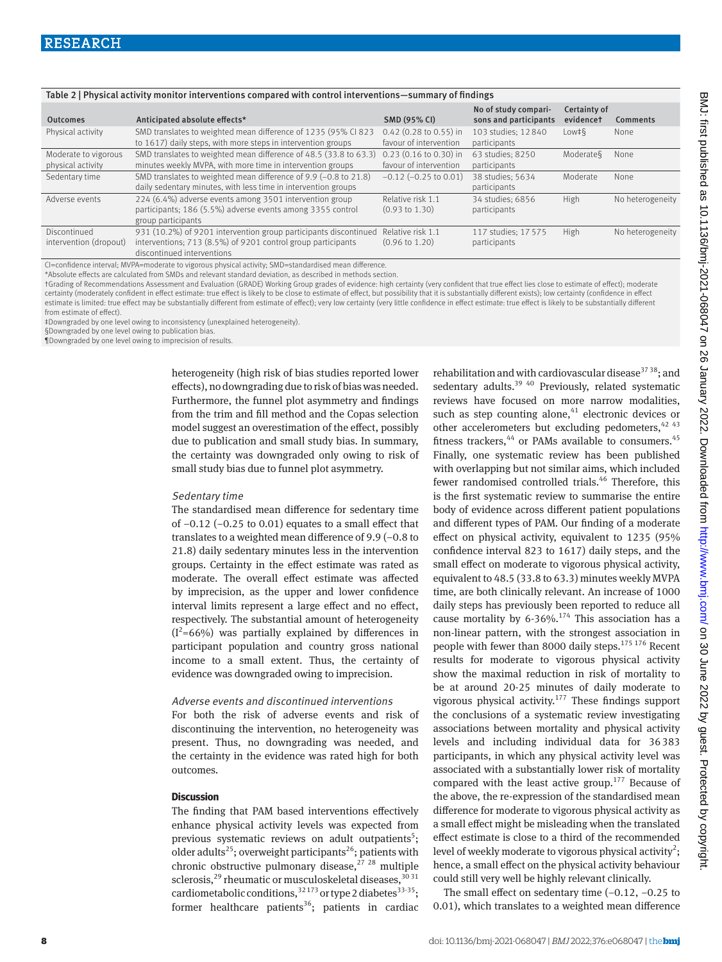| Table 2   Physical activity monitor interventions compared with control interventions—summary of findings |                                           |                                                                                                                                                                |                                                    |                                               |                           |                  |  |  |  |
|-----------------------------------------------------------------------------------------------------------|-------------------------------------------|----------------------------------------------------------------------------------------------------------------------------------------------------------------|----------------------------------------------------|-----------------------------------------------|---------------------------|------------------|--|--|--|
| <b>Outcomes</b>                                                                                           |                                           | Anticipated absolute effects*                                                                                                                                  | <b>SMD (95% CI)</b>                                | No of study compari-<br>sons and participants | Certainty of<br>evidencet | <b>Comments</b>  |  |  |  |
|                                                                                                           | Physical activity                         | SMD translates to weighted mean difference of 1235 (95% CI 823<br>to 1617) daily steps, with more steps in intervention groups                                 | $0.42$ (0.28 to 0.55) in<br>favour of intervention | 103 studies: 12 840<br>participants           | $Low + 6$                 | None             |  |  |  |
|                                                                                                           | Moderate to vigorous<br>physical activity | SMD translates to weighted mean difference of 48.5 (33.8 to 63.3)<br>minutes weekly MVPA, with more time in intervention groups                                | $0.23$ (0.16 to 0.30) in<br>favour of intervention | 63 studies: 8250<br>participants              | Moderates                 | None             |  |  |  |
|                                                                                                           | Sedentary time                            | SMD translates to weighted mean difference of 9.9 (-0.8 to 21.8)<br>daily sedentary minutes, with less time in intervention groups                             | $-0.12$ ( $-0.25$ to 0.01)                         | 38 studies: 5634<br>participants              | Moderate                  | None             |  |  |  |
|                                                                                                           | Adverse events                            | 224 (6.4%) adverse events among 3501 intervention group<br>participants; 186 (5.5%) adverse events among 3355 control<br>group participants                    | Relative risk 1.1<br>$(0.93 \text{ to } 1.30)$     | 34 studies; 6856<br>participants              | High                      | No heterogeneity |  |  |  |
|                                                                                                           | Discontinued<br>intervention (dropout)    | 931 (10.2%) of 9201 intervention group participants discontinued<br>interventions; 713 (8.5%) of 9201 control group participants<br>discontinued interventions | Relative risk 1.1<br>$(0.96 \text{ to } 1.20)$     | 117 studies: 17 575<br>participants           | High                      | No heterogeneity |  |  |  |
|                                                                                                           |                                           |                                                                                                                                                                |                                                    |                                               |                           |                  |  |  |  |

CI=confidence interval; MVPA=moderate to vigorous physical activity; SMD=standardised mean difference.

\*Absolute effects are calculated from SMDs and relevant standard deviation, as described in methods section.

†Grading of Recommendations Assessment and Evaluation (GRADE) Working Group grades of evidence: high certainty (very confident that true effect lies close to estimate of effect); moderate certainty (moderately confident in effect estimate: true effect is likely to be close to estimate of effect, but possibility that it is substantially different exists); low certainty (confidence in effect estimate is limited: true effect may be substantially different from estimate of effect); very low certainty (very little confidence in effect estimate: true effect is likely to be substantially different from estimate of effect).

‡Downgraded by one level owing to inconsistency (unexplained heterogeneity).

§Downgraded by one level owing to publication bias.

¶Downgraded by one level owing to imprecision of results.

heterogeneity (high risk of bias studies reported lower effects), no downgrading due to risk of bias was needed. Furthermore, the funnel plot asymmetry and findings from the trim and fill method and the Copas selection model suggest an overestimation of the effect, possibly due to publication and small study bias. In summary, the certainty was downgraded only owing to risk of small study bias due to funnel plot asymmetry.

#### Sedentary time

The standardised mean difference for sedentary time of −0.12 (−0.25 to 0.01) equates to a small effect that translates to a weighted mean difference of 9.9 (−0.8 to 21.8) daily sedentary minutes less in the intervention groups. Certainty in the effect estimate was rated as moderate. The overall effect estimate was affected by imprecision, as the upper and lower confidence interval limits represent a large effect and no effect, respectively. The substantial amount of heterogeneity  $(I<sup>2</sup>=66%)$  was partially explained by differences in participant population and country gross national income to a small extent. Thus, the certainty of evidence was downgraded owing to imprecision.

#### Adverse events and discontinued interventions

For both the risk of adverse events and risk of discontinuing the intervention, no heterogeneity was present. Thus, no downgrading was needed, and the certainty in the evidence was rated high for both outcomes.

#### **Discussion**

The finding that PAM based interventions effectively enhance physical activity levels was expected from previous systematic reviews on adult outpatients<sup>5</sup>; older adults<sup>25</sup>; overweight participants<sup>26</sup>; patients with chronic obstructive pulmonary disease,  $27 \times 28$  multiple sclerosis, $^{29}$  rheumatic or musculoskeletal diseases,  $^{30\,31}$ cardiometabolic conditions,  $32173$  or type 2 diabetes  $33-35$ ; former healthcare patients<sup>36</sup>; patients in cardiac

rehabilitation and with cardiovascular disease<sup>3738</sup>; and sedentary adults.<sup>39 40</sup> Previously, related systematic reviews have focused on more narrow modalities, such as step counting alone, $41$  electronic devices or other accelerometers but excluding pedometers,  $42\frac{43}{2}$ fitness trackers,  $44$  or PAMs available to consumers.  $45$ Finally, one systematic review has been published with overlapping but not similar aims, which included fewer randomised controlled trials.<sup>46</sup> Therefore, this is the first systematic review to summarise the entire body of evidence across different patient populations and different types of PAM. Our finding of a moderate effect on physical activity, equivalent to 1235 (95% confidence interval 823 to 1617) daily steps, and the small effect on moderate to vigorous physical activity, equivalent to 48.5 (33.8 to 63.3) minutes weekly MVPA time, are both clinically relevant. An increase of 1000 daily steps has previously been reported to reduce all cause mortality by  $6-36\%$ .<sup>174</sup> This association has a non-linear pattern, with the strongest association in people with fewer than 8000 daily steps.<sup>175 176</sup> Recent results for moderate to vigorous physical activity show the maximal reduction in risk of mortality to be at around 20-25 minutes of daily moderate to vigorous physical activity.<sup>177</sup> These findings support the conclusions of a systematic review investigating associations between mortality and physical activity levels and including individual data for 36383 participants, in which any physical activity level was associated with a substantially lower risk of mortality compared with the least active group.<sup>177</sup> Because of the above, the re-expression of the standardised mean difference for moderate to vigorous physical activity as a small effect might be misleading when the translated effect estimate is close to a third of the recommended level of weekly moderate to vigorous physical activity<sup>2</sup>; hence, a small effect on the physical activity behaviour could still very well be highly relevant clinically.

The small effect on sedentary time (−0.12, −0.25 to 0.01), which translates to a weighted mean difference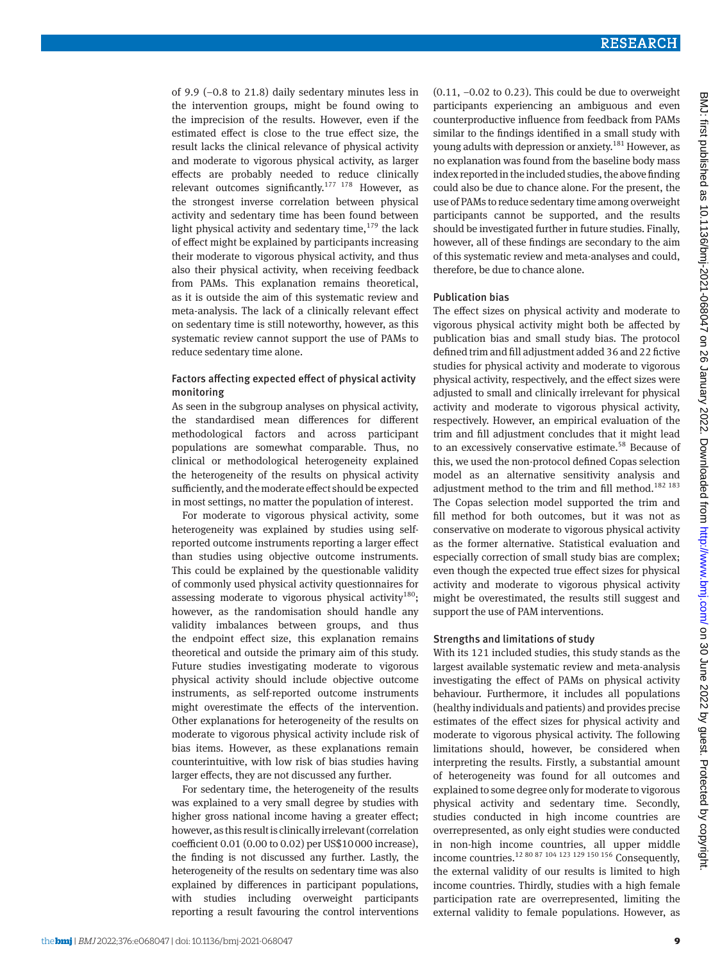of 9.9 (−0.8 to 21.8) daily sedentary minutes less in the intervention groups, might be found owing to the imprecision of the results. However, even if the estimated effect is close to the true effect size, the result lacks the clinical relevance of physical activity and moderate to vigorous physical activity, as larger effects are probably needed to reduce clinically relevant outcomes significantly.<sup>177 178</sup> However, as the strongest inverse correlation between physical activity and sedentary time has been found between light physical activity and sedentary time,  $179$  the lack of effect might be explained by participants increasing their moderate to vigorous physical activity, and thus also their physical activity, when receiving feedback from PAMs. This explanation remains theoretical, as it is outside the aim of this systematic review and meta-analysis. The lack of a clinically relevant effect on sedentary time is still noteworthy, however, as this systematic review cannot support the use of PAMs to reduce sedentary time alone.

# Factors affecting expected effect of physical activity monitoring

As seen in the subgroup analyses on physical activity, the standardised mean differences for different methodological factors and across participant populations are somewhat comparable. Thus, no clinical or methodological heterogeneity explained the heterogeneity of the results on physical activity sufficiently, and the moderate effect should be expected in most settings, no matter the population of interest.

For moderate to vigorous physical activity, some heterogeneity was explained by studies using selfreported outcome instruments reporting a larger effect than studies using objective outcome instruments. This could be explained by the questionable validity of commonly used physical activity questionnaires for assessing moderate to vigorous physical activity<sup>180</sup>; however, as the randomisation should handle any validity imbalances between groups, and thus the endpoint effect size, this explanation remains theoretical and outside the primary aim of this study. Future studies investigating moderate to vigorous physical activity should include objective outcome instruments, as self-reported outcome instruments might overestimate the effects of the intervention. Other explanations for heterogeneity of the results on moderate to vigorous physical activity include risk of bias items. However, as these explanations remain counterintuitive, with low risk of bias studies having larger effects, they are not discussed any further.

For sedentary time, the heterogeneity of the results was explained to a very small degree by studies with higher gross national income having a greater effect; however, as this result is clinically irrelevant (correlation coefficient 0.01 (0.00 to 0.02) per US\$10000 increase), the finding is not discussed any further. Lastly, the heterogeneity of the results on sedentary time was also explained by differences in participant populations, with studies including overweight participants reporting a result favouring the control interventions (0.11, −0.02 to 0.23). This could be due to overweight participants experiencing an ambiguous and even counterproductive influence from feedback from PAMs similar to the findings identified in a small study with young adults with depression or anxiety.<sup>181</sup> However, as no explanation was found from the baseline body mass index reported in the included studies, the above finding could also be due to chance alone. For the present, the use of PAMs to reduce sedentary time among overweight participants cannot be supported, and the results should be investigated further in future studies. Finally, however, all of these findings are secondary to the aim of this systematic review and meta-analyses and could, therefore, be due to chance alone.

# Publication bias

The effect sizes on physical activity and moderate to vigorous physical activity might both be affected by publication bias and small study bias. The protocol defined trim and fill adjustment added 36 and 22 fictive studies for physical activity and moderate to vigorous physical activity, respectively, and the effect sizes were adjusted to small and clinically irrelevant for physical activity and moderate to vigorous physical activity, respectively. However, an empirical evaluation of the trim and fill adjustment concludes that it might lead to an excessively conservative estimate.<sup>58</sup> Because of this, we used the non-protocol defined Copas selection model as an alternative sensitivity analysis and adjustment method to the trim and fill method.<sup>182 183</sup> The Copas selection model supported the trim and fill method for both outcomes, but it was not as conservative on moderate to vigorous physical activity as the former alternative. Statistical evaluation and especially correction of small study bias are complex; even though the expected true effect sizes for physical activity and moderate to vigorous physical activity might be overestimated, the results still suggest and support the use of PAM interventions.

# Strengths and limitations of study

With its 121 included studies, this study stands as the largest available systematic review and meta-analysis investigating the effect of PAMs on physical activity behaviour. Furthermore, it includes all populations (healthy individuals and patients) and provides precise estimates of the effect sizes for physical activity and moderate to vigorous physical activity. The following limitations should, however, be considered when interpreting the results. Firstly, a substantial amount of heterogeneity was found for all outcomes and explained to some degree only for moderate to vigorous physical activity and sedentary time. Secondly, studies conducted in high income countries are overrepresented, as only eight studies were conducted in non-high income countries, all upper middle income countries.12 80 87 104 123 129 150 156 Consequently, the external validity of our results is limited to high income countries. Thirdly, studies with a high female participation rate are overrepresented, limiting the external validity to female populations. However, as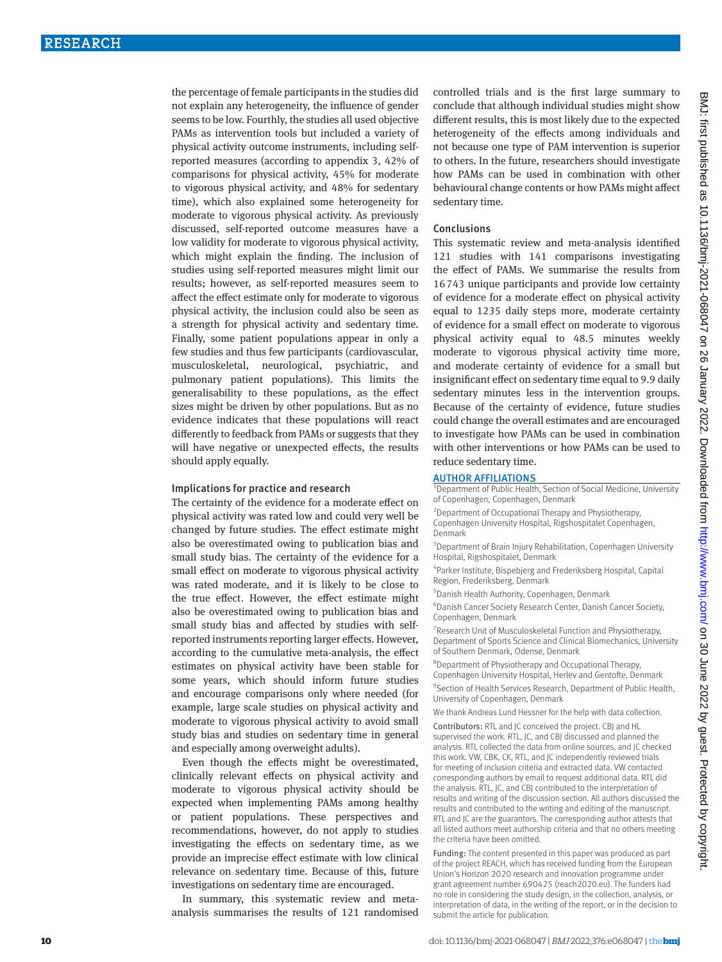the percentage of female participants in the studies did not explain any heterogeneity, the influence of gender seems to be low. Fourthly, the studies all used objective PAMs as intervention tools but included a variety of physical activity outcome instruments, including selfreported measures (according to appendix 3, 42% of comparisons for physical activity, 45% for moderate to vigorous physical activity, and 48% for sedentary time), which also explained some heterogeneity for moderate to vigorous physical activity. As previously discussed, self-reported outcome measures have a low validity for moderate to vigorous physical activity, which might explain the finding. The inclusion of studies using self-reported measures might limit our results; however, as self-reported measures seem to affect the effect estimate only for moderate to vigorous physical activity, the inclusion could also be seen as a strength for physical activity and sedentary time. Finally, some patient populations appear in only a few studies and thus few participants (cardiovascular, musculoskeletal, neurological, psychiatric, and pulmonary patient populations). This limits the generalisability to these populations, as the effect sizes might be driven by other populations. But as no evidence indicates that these populations will react differently to feedback from PAMs or suggests that they will have negative or unexpected effects, the results should apply equally.

#### Implications for practice and research

The certainty of the evidence for a moderate effect on physical activity was rated low and could very well be changed by future studies. The effect estimate might also be overestimated owing to publication bias and small study bias. The certainty of the evidence for a small effect on moderate to vigorous physical activity was rated moderate, and it is likely to be close to the true effect. However, the effect estimate might also be overestimated owing to publication bias and small study bias and affected by studies with selfreported instruments reporting larger effects. However, according to the cumulative meta-analysis, the effect estimates on physical activity have been stable for some years, which should inform future studies and encourage comparisons only where needed (for example, large scale studies on physical activity and moderate to vigorous physical activity to avoid small study bias and studies on sedentary time in general and especially among overweight adults).

Even though the effects might be overestimated, clinically relevant effects on physical activity and moderate to vigorous physical activity should be expected when implementing PAMs among healthy or patient populations. These perspectives and recommendations, however, do not apply to studies investigating the effects on sedentary time, as we provide an imprecise effect estimate with low clinical relevance on sedentary time. Because of this, future investigations on sedentary time are encouraged.

In summary, this systematic review and metaanalysis summarises the results of 121 randomised controlled trials and is the first large summary to conclude that although individual studies might show different results, this is most likely due to the expected heterogeneity of the effects among individuals and not because one type of PAM intervention is superior to others. In the future, researchers should investigate how PAMs can be used in combination with other behavioural change contents or how PAMs might affect sedentary time.

#### Conclusions

This systematic review and meta-analysis identified 121 studies with 141 comparisons investigating the effect of PAMs. We summarise the results from 16743 unique participants and provide low certainty of evidence for a moderate effect on physical activity equal to 1235 daily steps more, moderate certainty of evidence for a small effect on moderate to vigorous physical activity equal to 48.5 minutes weekly moderate to vigorous physical activity time more, and moderate certainty of evidence for a small but insignificant effect on sedentary time equal to 9.9 daily sedentary minutes less in the intervention groups. Because of the certainty of evidence, future studies could change the overall estimates and are encouraged to investigate how PAMs can be used in combination with other interventions or how PAMs can be used to reduce sedentary time.

# AUTHOR AFFILIATIONS

<sup>1</sup> Department of Public Health, Section of Social Medicine, University of Copenhagen, Copenhagen, Denmark

<sup>2</sup> Department of Occupational Therapy and Physiotherapy, Copenhagen University Hospital, Rigshospitalet Copenhagen, Denmark

<sup>3</sup> Department of Brain Injury Rehabilitation, Copenhagen University Hospital, Rigshospitalet, Denmark

4 Parker Institute, Bispebjerg and Frederiksberg Hospital, Capital Region, Frederiksberg, Denmark

5 Danish Health Authority, Copenhagen, Denmark

6 Danish Cancer Society Research Center, Danish Cancer Society, Copenhagen, Denmark

<sup>7</sup> Research Unit of Musculoskeletal Function and Physiotherapy, Department of Sports Science and Clinical Biomechanics, University of Southern Denmark, Odense, Denmark

8 Department of Physiotherapy and Occupational Therapy, Copenhagen University Hospital, Herlev and Gentofte, Denmark <sup>9</sup> Section of Health Services Research, Department of Public Health, University of Copenhagen, Denmark

We thank Andreas Lund Hessner for the help with data collection.

Contributors: RTL and JC conceived the project. CBJ and HL supervised the work. RTL, JC, and CBJ discussed and planned the analysis. RTL collected the data from online sources, and JC checked this work. VW, CBK, CK, RTL, and JC independently reviewed trials for meeting of inclusion criteria and extracted data. VW contacted corresponding authors by email to request additional data. RTL did the analysis. RTL, JC, and CBJ contributed to the interpretation of results and writing of the discussion section. All authors discussed the results and contributed to the writing and editing of the manuscript. RTL and JC are the guarantors. The corresponding author attests that all listed authors meet authorship criteria and that no others meeting the criteria have been omitted.

Funding: The content presented in this paper was produced as part of the project REACH, which has received funding from the European Union's Horizon 2020 research and innovation programme under grant agreement number 690425 ([reach2020.eu](http://reach2020.eu)). The funders had no role in considering the study design, in the collection, analysis, or interpretation of data, in the writing of the report, or in the decision to submit the article for publication.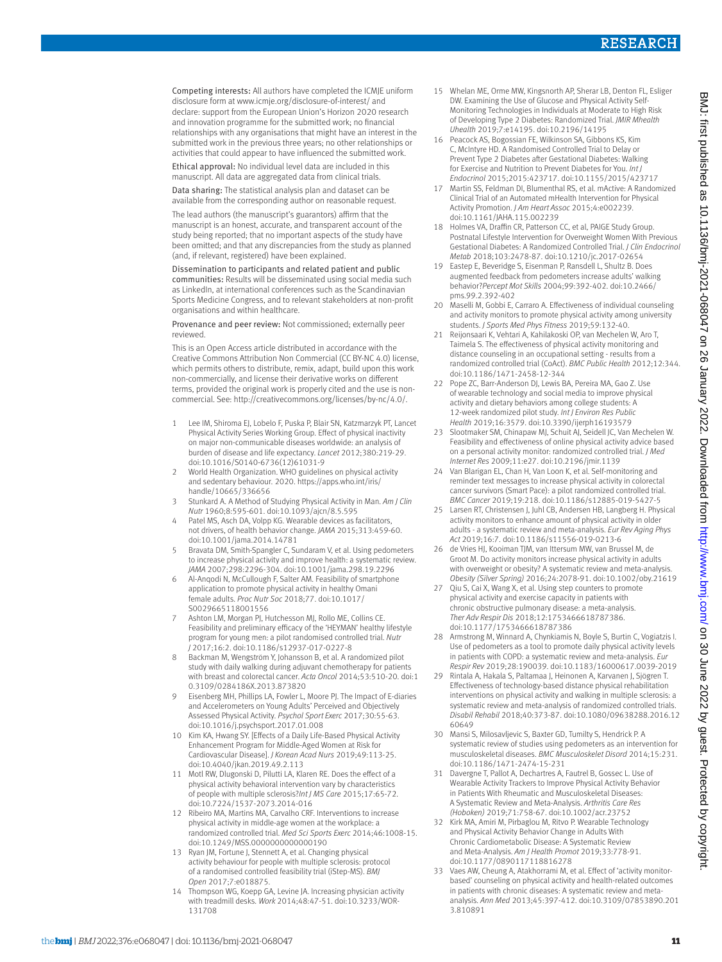Competing interests: All authors have completed the ICMJE uniform disclosure form at [www.icmje.org/disclosure-of-interest/](http://www.icmje.org/disclosure-of-interest/) and declare: support from the European Union's Horizon 2020 research and innovation programme for the submitted work; no financial relationships with any organisations that might have an interest in the submitted work in the previous three years; no other relationships or activities that could appear to have influenced the submitted work.

Ethical approval: No individual level data are included in this manuscript. All data are aggregated data from clinical trials.

Data sharing: The statistical analysis plan and dataset can be available from the corresponding author on reasonable request.

The lead authors (the manuscript's guarantors) affirm that the manuscript is an honest, accurate, and transparent account of the study being reported; that no important aspects of the study have been omitted; and that any discrepancies from the study as planned (and, if relevant, registered) have been explained.

Dissemination to participants and related patient and public communities: Results will be disseminated using social media such as LinkedIn, at international conferences such as the Scandinavian Sports Medicine Congress, and to relevant stakeholders at non-profit organisations and within healthcare.

Provenance and peer review: Not commissioned; externally peer reviewed.

This is an Open Access article distributed in accordance with the Creative Commons Attribution Non Commercial (CC BY-NC 4.0) license, which permits others to distribute, remix, adapt, build upon this work non-commercially, and license their derivative works on different terms, provided the original work is properly cited and the use is noncommercial. See: [http://creativecommons.org/licenses/by-nc/4.0/.](http://creativecommons.org/licenses/by-nc/4.0/)

- 1 Lee IM, Shiroma EJ, Lobelo F, Puska P, Blair SN, Katzmarzyk PT, Lancet Physical Activity Series Working Group. Effect of physical inactivity on major non-communicable diseases worldwide: an analysis of burden of disease and life expectancy. *Lancet* 2012;380:219-29. doi:10.1016/S0140-6736(12)61031-9
- 2 World Health Organization. WHO guidelines on physical activity and sedentary behaviour. 2020. [https://apps.who.int/iris/](https://apps.who.int/iris/handle/10665/336656) [handle/10665/336656](https://apps.who.int/iris/handle/10665/336656)
- 3 Stunkard A. A Method of Studying Physical Activity in Man. *Am J Clin Nutr* 1960;8:595-601. doi:10.1093/ajcn/8.5.595
- 4 Patel MS, Asch DA, Volpp KG. Wearable devices as facilitators, not drivers, of health behavior change. *JAMA* 2015;313:459-60. doi:10.1001/jama.2014.14781
- 5 Bravata DM, Smith-Spangler C, Sundaram V, et al. Using pedometers to increase physical activity and improve health: a systematic review. *JAMA* 2007;298:2296-304. doi:10.1001/jama.298.19.2296
- 6 Al-Anqodi N, McCullough F, Salter AM. Feasibility of smartphone application to promote physical activity in healthy Omani female adults. *Proc Nutr Soc* 2018;77. doi:10.1017/ S0029665118001556
- 7 Ashton LM, Morgan PJ, Hutchesson MJ, Rollo ME, Collins CE. Feasibility and preliminary efficacy of the 'HEYMAN' healthy lifestyle program for young men: a pilot randomised controlled trial. *Nutr J* 2017;16:2. doi:10.1186/s12937-017-0227-8
- 8 Backman M, Wengström Y, Johansson B, et al. A randomized pilot study with daily walking during adjuvant chemotherapy for patients with breast and colorectal cancer. *Acta Oncol* 2014;53:510-20. doi:1 0.3109/0284186X.2013.873820
- 9 Eisenberg MH, Phillips LA, Fowler L, Moore PJ. The Impact of E-diaries and Accelerometers on Young Adults' Perceived and Objectively Assessed Physical Activity. *Psychol Sport Exerc* 2017;30:55-63. doi:10.1016/j.psychsport.2017.01.008
- 10 Kim KA, Hwang SY. [Effects of a Daily Life-Based Physical Activity Enhancement Program for Middle-Aged Women at Risk for Cardiovascular Disease]. *J Korean Acad Nurs* 2019;49:113-25. doi:10.4040/jkan.2019.49.2.113
- 11 Motl RW, Dlugonski D, Pilutti LA, Klaren RE. Does the effect of a physical activity behavioral intervention vary by characteristics of people with multiple sclerosis?*Int J MS Care* 2015;17:65-72. doi:10.7224/1537-2073.2014-016
- 12 Ribeiro MA, Martins MA, Carvalho CRF. Interventions to increase physical activity in middle-age women at the workplace: a randomized controlled trial. *Med Sci Sports Exerc* 2014;46:1008-15. doi:10.1249/MSS.0000000000000190
- 13 Ryan JM, Fortune J, Stennett A, et al. Changing physical activity behaviour for people with multiple sclerosis: protocol of a randomised controlled feasibility trial (iStep-MS). *BMJ Open* 2017;7:e018875.
- 14 Thompson WG, Koepp GA, Levine JA. Increasing physician activity with treadmill desks. *Work* 2014;48:47-51. doi:10.3233/WOR-131708
- 15 Whelan ME, Orme MW, Kingsnorth AP, Sherar LB, Denton FL, Esliger DW. Examining the Use of Glucose and Physical Activity Self-Monitoring Technologies in Individuals at Moderate to High Risk of Developing Type 2 Diabetes: Randomized Trial. *JMIR Mhealth Uhealth* 2019;7:e14195. doi:10.2196/14195
- 16 Peacock AS, Bogossian FE, Wilkinson SA, Gibbons KS, Kim C, McIntyre HD. A Randomised Controlled Trial to Delay or Prevent Type 2 Diabetes after Gestational Diabetes: Walking for Exercise and Nutrition to Prevent Diabetes for You. *Int J Endocrinol* 2015;2015:423717. doi:10.1155/2015/423717
- 17 Martin SS, Feldman DI, Blumenthal RS, et al. mActive: A Randomized Clinical Trial of an Automated mHealth Intervention for Physical Activity Promotion. *J Am Heart Assoc* 2015;4:e002239. doi:10.1161/JAHA.115.002239
- 18 Holmes VA, Draffin CR, Patterson CC, et al, PAIGE Study Group. Postnatal Lifestyle Intervention for Overweight Women With Previous Gestational Diabetes: A Randomized Controlled Trial. *J Clin Endocrinol Metab* 2018;103:2478-87. doi:10.1210/jc.2017-02654
- 19 Eastep E, Beveridge S, Eisenman P, Ransdell L, Shultz B. Does augmented feedback from pedometers increase adults' walking behavior?*Percept Mot Skills* 2004;99:392-402. doi:10.2466/ pms.99.2.392-402
- Maselli M, Gobbi E, Carraro A. Effectiveness of individual counseling and activity monitors to promote physical activity among university students. *J Sports Med Phys Fitness* 2019;59:132-40.
- 21 Reijonsaari K, Vehtari A, Kahilakoski OP, van Mechelen W, Aro T, Taimela S. The effectiveness of physical activity monitoring and distance counseling in an occupational setting - results from a randomized controlled trial (CoAct). *BMC Public Health* 2012;12:344. doi:10.1186/1471-2458-12-344
- 22 Pope ZC, Barr-Anderson DJ, Lewis BA, Pereira MA, Gao Z. Use of wearable technology and social media to improve physical activity and dietary behaviors among college students: A 12-week randomized pilot study. *Int J Environ Res Public Health* 2019;16:3579. doi:10.3390/ijerph16193579
- Slootmaker SM, Chinapaw MJ, Schuit AJ, Seidell JC, Van Mechelen W. Feasibility and effectiveness of online physical activity advice based on a personal activity monitor: randomized controlled trial. *J Med Internet Res* 2009;11:e27. doi:10.2196/jmir.1139
- Van Blarigan EL, Chan H, Van Loon K, et al. Self-monitoring and reminder text messages to increase physical activity in colorectal cancer survivors (Smart Pace): a pilot randomized controlled trial. *BMC Cancer* 2019;19:218. doi:10.1186/s12885-019-5427-5
- 25 Larsen RT, Christensen J, Juhl CB, Andersen HB, Langberg H. Physical activity monitors to enhance amount of physical activity in older adults - a systematic review and meta-analysis. *Eur Rev Aging Phys Act* 2019;16:7. doi:10.1186/s11556-019-0213-6
- 26 de Vries HJ, Kooiman TJM, van Ittersum MW, van Brussel M, de Groot M. Do activity monitors increase physical activity in adults with overweight or obesity? A systematic review and meta-analysis. *Obesity (Silver Spring)* 2016;24:2078-91. doi:10.1002/oby.21619
- 27 Qiu S, Cai X, Wang X, et al. Using step counters to promote physical activity and exercise capacity in patients with chronic obstructive pulmonary disease: a meta-analysis. *Ther Adv Respir Dis* 2018;12:1753466618787386. doi:10.1177/1753466618787386
- 28 Armstrong M, Winnard A, Chynkiamis N, Boyle S, Burtin C, Vogiatzis I. Use of pedometers as a tool to promote daily physical activity levels in patients with COPD: a systematic review and meta-analysis. *Eur Respir Rev* 2019;28:190039. doi:10.1183/16000617.0039-2019
- 29 Rintala A, Hakala S, Paltamaa J, Heinonen A, Karvanen J, Sjögren T. Effectiveness of technology-based distance physical rehabilitation interventions on physical activity and walking in multiple sclerosis: a systematic review and meta-analysis of randomized controlled trials. *Disabil Rehabil* 2018;40:373-87. doi:10.1080/09638288.2016.12 60649
- 30 Mansi S, Milosavljevic S, Baxter GD, Tumilty S, Hendrick P. A systematic review of studies using pedometers as an intervention for musculoskeletal diseases. *BMC Musculoskelet Disord* 2014;15:231. doi:10.1186/1471-2474-15-231
- 31 Davergne T, Pallot A, Dechartres A, Fautrel B, Gossec L. Use of Wearable Activity Trackers to Improve Physical Activity Behavior in Patients With Rheumatic and Musculoskeletal Diseases: A Systematic Review and Meta-Analysis. *Arthritis Care Res (Hoboken)* 2019;71:758-67. doi:10.1002/acr.23752
- 32 Kirk MA, Amiri M, Pirbaglou M, Ritvo P. Wearable Technology and Physical Activity Behavior Change in Adults With Chronic Cardiometabolic Disease: A Systematic Review and Meta-Analysis. *Am J Health Promot* 2019;33:778-91. doi:10.1177/0890117118816278
- 33 Vaes AW, Cheung A, Atakhorrami M, et al. Effect of 'activity monitorbased' counseling on physical activity and health-related outcomes in patients with chronic diseases: A systematic review and metaanalysis. *Ann Med* 2013;45:397-412. doi:10.3109/07853890.201 3.810891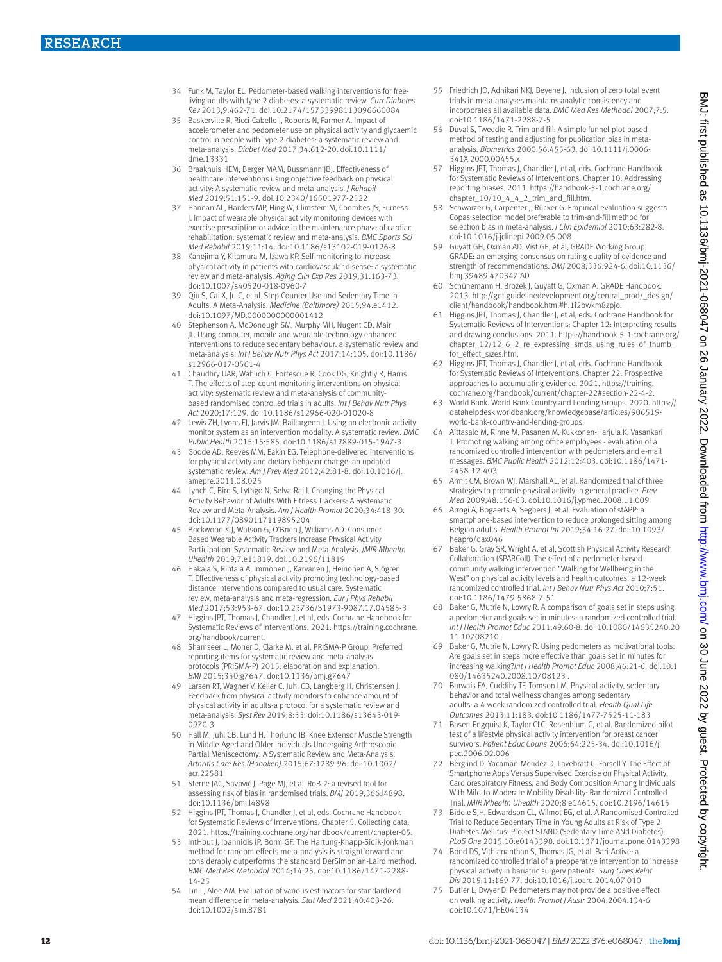- 34 Funk M, Taylor EL. Pedometer-based walking interventions for freeliving adults with type 2 diabetes: a systematic review. *Curr Diabetes Rev* 2013;9:462-71. doi:10.2174/15733998113096660084
- 35 Baskerville R, Ricci-Cabello I, Roberts N, Farmer A. Impact of accelerometer and pedometer use on physical activity and glycaemic control in people with Type 2 diabetes: a systematic review and meta-analysis. *Diabet Med* 2017;34:612-20. doi:10.1111/ dme.13331
- 36 Braakhuis HEM, Berger MAM, Bussmann JBJ. Effectiveness of healthcare interventions using objective feedback on physical activity: A systematic review and meta-analysis. *J Rehabil Med* 2019;51:151-9. doi:10.2340/16501977-2522
- 37 Hannan AL, Harders MP, Hing W, Climstein M, Coombes JS, Furness J. Impact of wearable physical activity monitoring devices with exercise prescription or advice in the maintenance phase of cardiac rehabilitation: systematic review and meta-analysis. *BMC Sports Sci Med Rehabil* 2019;11:14. doi:10.1186/s13102-019-0126-8
- 38 Kanejima Y, Kitamura M, Izawa KP. Self-monitoring to increase physical activity in patients with cardiovascular disease: a systematic review and meta-analysis. *Aging Clin Exp Res* 2019;31:163-73. doi:10.1007/s40520-018-0960-7
- 39 Qiu S, Cai X, Ju C, et al. Step Counter Use and Sedentary Time in Adults: A Meta-Analysis. *Medicine (Baltimore)* 2015;94:e1412. doi:10.1097/MD.0000000000001412
- 40 Stephenson A, McDonough SM, Murphy MH, Nugent CD, Mair JL. Using computer, mobile and wearable technology enhanced interventions to reduce sedentary behaviour: a systematic review and meta-analysis. *Int J Behav Nutr Phys Act* 2017;14:105. doi:10.1186/ s12966-017-0561-4
- 41 Chaudhry UAR, Wahlich C, Fortescue R, Cook DG, Knightly R, Harris T. The effects of step-count monitoring interventions on physical activity: systematic review and meta-analysis of communitybased randomised controlled trials in adults. *Int J Behav Nutr Phys Act* 2020;17:129. doi:10.1186/s12966-020-01020-8
- 42 Lewis ZH, Lyons EJ, Jarvis JM, Baillargeon J. Using an electronic activity monitor system as an intervention modality: A systematic review. *BMC Public Health* 2015;15:585. doi:10.1186/s12889-015-1947-3
- 43 Goode AD, Reeves MM, Eakin EG. Telephone-delivered interventions for physical activity and dietary behavior change: an updated systematic review. *Am J Prev Med* 2012;42:81-8. doi:10.1016/j. amepre.2011.08.025
- 44 Lynch C, Bird S, Lythgo N, Selva-Raj I. Changing the Physical Activity Behavior of Adults With Fitness Trackers: A Systematic Review and Meta-Analysis. *Am J Health Promot* 2020;34:418-30. doi:10.1177/0890117119895204
- 45 Brickwood K-J, Watson G, O'Brien J, Williams AD. Consumer-Based Wearable Activity Trackers Increase Physical Activity Participation: Systematic Review and Meta-Analysis. *JMIR Mhealth Uhealth* 2019;7:e11819. doi:10.2196/11819
- 46 Hakala S, Rintala A, Immonen J, Karvanen J, Heinonen A, Sjögren T. Effectiveness of physical activity promoting technology-based distance interventions compared to usual care. Systematic review, meta-analysis and meta-regression. *Eur J Phys Rehabil Med* 2017;53:953-67. doi:10.23736/S1973-9087.17.04585-3
- 47 Higgins JPT, Thomas J, Chandler J, et al, eds. Cochrane Handbook for Systematic Reviews of Interventions. 2021. [https://training.cochrane.](https://training.cochrane.org/handbook/current) [org/handbook/current](https://training.cochrane.org/handbook/current).
- 48 Shamseer L, Moher D, Clarke M, et al, PRISMA-P Group. Preferred reporting items for systematic review and meta-analysis protocols (PRISMA-P) 2015: elaboration and explanation. *BMJ* 2015;350:g7647. doi:10.1136/bmj.g7647
- Larsen RT, Wagner V, Keller C, Juhl CB, Langberg H, Christensen J. Feedback from physical activity monitors to enhance amount of physical activity in adults-a protocol for a systematic review and meta-analysis. *Syst Rev* 2019;8:53. doi:10.1186/s13643-019- 0970-3
- 50 Hall M, Juhl CB, Lund H, Thorlund JB. Knee Extensor Muscle Strength in Middle-Aged and Older Individuals Undergoing Arthroscopic Partial Meniscectomy: A Systematic Review and Meta-Analysis. *Arthritis Care Res (Hoboken)* 2015;67:1289-96. doi:10.1002/ acr.22581
- 51 Sterne JAC, Savović J, Page MJ, et al. RoB 2: a revised tool for assessing risk of bias in randomised trials. *BMJ* 2019;366:l4898. doi:10.1136/bmj.l4898
- 52 Higgins JPT, Thomas J, Chandler J, et al, eds. Cochrane Handbook for Systematic Reviews of Interventions: Chapter 5: Collecting data. 2021. [https://training.cochrane.org/handbook/current/chapter-05.](https://training.cochrane.org/handbook/current/chapter-05)
- 53 IntHout J, Ioannidis JP, Borm GF. The Hartung-Knapp-Sidik-Jonkman method for random effects meta-analysis is straightforward and considerably outperforms the standard DerSimonian-Laird method. *BMC Med Res Methodol* 2014;14:25. doi:10.1186/1471-2288- 14-25
- Lin L, Aloe AM. Evaluation of various estimators for standardized mean difference in meta-analysis. *Stat Med* 2021;40:403-26. doi:10.1002/sim.8781
- 55 Friedrich JO, Adhikari NKJ, Beyene J. Inclusion of zero total event trials in meta-analyses maintains analytic consistency and incorporates all available data. *BMC Med Res Methodol* 2007;7:5. doi:10.1186/1471-2288-7-5
- 56 Duval S, Tweedie R. Trim and fill: A simple funnel-plot-based method of testing and adjusting for publication bias in metaanalysis. *Biometrics* 2000;56:455-63. doi:10.1111/j.0006- 341X.2000.00455.x
- 57 Higgins JPT, Thomas J, Chandler J, et al, eds. Cochrane Handbook for Systematic Reviews of Interventions: Chapter 10: Addressing reporting biases. 2011. [https://handbook-5-1.cochrane.org/](https://handbook-5-1.cochrane.org/chapter_10/10_4_4_2_trim_and_fill.htm) [chapter\\_10/10\\_4\\_4\\_2\\_trim\\_and\\_fill.htm](https://handbook-5-1.cochrane.org/chapter_10/10_4_4_2_trim_and_fill.htm).
- 58 Schwarzer G, Carpenter J, Rücker G. Empirical evaluation suggests Copas selection model preferable to trim-and-fill method for selection bias in meta-analysis. *J Clin Epidemiol* 2010;63:282-8. doi:10.1016/j.jclinepi.2009.05.008
- 59 Guyatt GH, Oxman AD, Vist GE, et al, GRADE Working Group. GRADE: an emerging consensus on rating quality of evidence and strength of recommendations. *BMJ* 2008;336:924-6. doi:10.1136/ bmj.39489.470347.AD
- 60 Schünemann H, Brożek J, Guyatt G, Oxman A. GRADE Handbook. 2013. http://gdt.guidelinedevelopment.org/central\_prod/\_design/ client/handbook/handbook.html#h.1i2bwkm8zpjo.
- 61 Higgins JPT, Thomas J, Chandler J, et al, eds. Cochrane Handbook for Systematic Reviews of Interventions: Chapter 12: Interpreting results and drawing conclusions. 2011. [https://handbook-5-1.cochrane.org/](https://handbook-5-1.cochrane.org/chapter_12/12_6_2_re_expressing_smds_using_rules_of_thumb_for_effect_sizes.htm) chapter  $12/12$  6 2 re expressing smds using rules of thumb [for\\_effect\\_sizes.htm](https://handbook-5-1.cochrane.org/chapter_12/12_6_2_re_expressing_smds_using_rules_of_thumb_for_effect_sizes.htm).
- 62 Higgins JPT, Thomas J, Chandler J, et al, eds. Cochrane Handbook for Systematic Reviews of Interventions: Chapter 22: Prospective approaches to accumulating evidence. 2021. https://training. cochrane.org/handbook/current/chapter-22#section-22-4-2.
- 63 World Bank. World Bank Country and Lending Groups. 2020. [https://](https://datahelpdesk.worldbank.org/knowledgebase/articles/906519-world-bank-country-and-lending-groups) [datahelpdesk.worldbank.org/knowledgebase/articles/906519](https://datahelpdesk.worldbank.org/knowledgebase/articles/906519-world-bank-country-and-lending-groups) [world-bank-country-and-lending-groups](https://datahelpdesk.worldbank.org/knowledgebase/articles/906519-world-bank-country-and-lending-groups).
- 64 Aittasalo M, Rinne M, Pasanen M, Kukkonen-Harjula K, Vasankari T. Promoting walking among office employees - evaluation of a randomized controlled intervention with pedometers and e-mail messages. *BMC Public Health* 2012;12:403. doi:10.1186/1471- 2458-12-403
- 65 Armit CM, Brown WJ, Marshall AL, et al. Randomized trial of three strategies to promote physical activity in general practice. *Prev Med* 2009;48:156-63. doi:10.1016/j.ypmed.2008.11.009
- 66 Arrogi A, Bogaerts A, Seghers J, et al. Evaluation of stAPP: a smartphone-based intervention to reduce prolonged sitting among Belgian adults. *Health Promot Int* 2019;34:16-27. doi:10.1093/ heapro/dax046
- 67 Baker G, Gray SR, Wright A, et al, Scottish Physical Activity Research Collaboration (SPARColl). The effect of a pedometer-based community walking intervention "Walking for Wellbeing in the West" on physical activity levels and health outcomes: a 12-week randomized controlled trial. *Int J Behav Nutr Phys Act* 2010;7:51. doi:10.1186/1479-5868-7-51
- 68 Baker G, Mutrie N, Lowry R. A comparison of goals set in steps using a pedometer and goals set in minutes: a randomized controlled trial. *Int J Health Promot Educ* 2011;49:60-8. doi:10.1080/14635240.20 11.10708210 .
- 69 Baker G, Mutrie N, Lowry R. Using pedometers as motivational tools: Are goals set in steps more effective than goals set in minutes for increasing walking?*Int J Health Promot Educ* 2008;46:21-6. doi:10.1 080/14635240.2008.10708123 .
- Barwais FA, Cuddihy TF, Tomson LM. Physical activity, sedentary behavior and total wellness changes among sedentary adults: a 4-week randomized controlled trial. *Health Qual Life Outcomes* 2013;11:183. doi:10.1186/1477-7525-11-183
- 71 Basen-Engquist K, Taylor CLC, Rosenblum C, et al. Randomized pilot test of a lifestyle physical activity intervention for breast cancer survivors. *Patient Educ Couns* 2006;64:225-34. doi:10.1016/j. pec.2006.02.006
- 72 Berglind D, Yacaman-Mendez D, Lavebratt C, Forsell Y. The Effect of Smartphone Apps Versus Supervised Exercise on Physical Activity, Cardiorespiratory Fitness, and Body Composition Among Individuals With Mild-to-Moderate Mobility Disability: Randomized Controlled Trial. *JMIR Mhealth Uhealth* 2020;8:e14615. doi:10.2196/14615
- 73 Biddle SJH, Edwardson CL, Wilmot EG, et al. A Randomised Controlled Trial to Reduce Sedentary Time in Young Adults at Risk of Type 2 Diabetes Mellitus: Project STAND (Sedentary Time ANd Diabetes). *PLoS One* 2015;10:e0143398. doi:10.1371/journal.pone.0143398
- 74 Bond DS, Vithiananthan S, Thomas JG, et al. Bari-Active: a randomized controlled trial of a preoperative intervention to increase physical activity in bariatric surgery patients. *Surg Obes Relat Dis* 2015;11:169-77. doi:10.1016/j.soard.2014.07.010
- 75 Butler L, Dwyer D. Pedometers may not provide a positive effect on walking activity. *Health Promot J Austr* 2004;2004:134-6. doi:10.1071/HE04134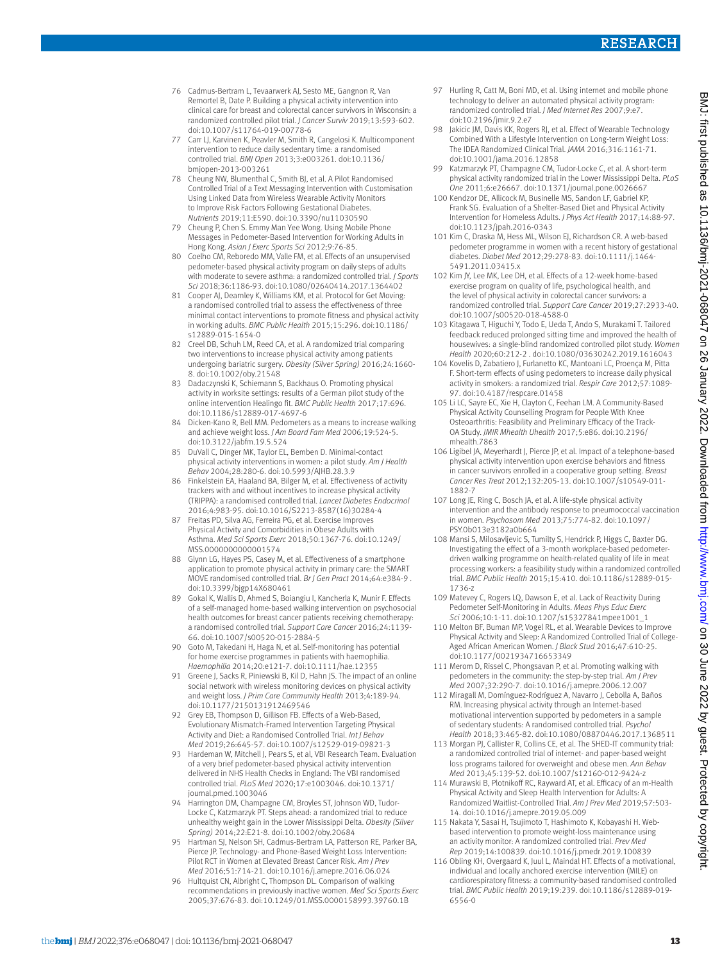- 76 Cadmus-Bertram L, Tevaarwerk AJ, Sesto ME, Gangnon R, Van Remortel B, Date P. Building a physical activity intervention into clinical care for breast and colorectal cancer survivors in Wisconsin: a randomized controlled pilot trial. *J Cancer Surviv* 2019;13:593-602. doi:10.1007/s11764-019-00778-6
- 77 Carr LJ, Karvinen K, Peavler M, Smith R, Cangelosi K. Multicomponent intervention to reduce daily sedentary time: a randomised controlled trial. *BMJ Open* 2013;3:e003261. doi:10.1136/ bmjopen-2013-003261
- 78 Cheung NW, Blumenthal C, Smith BJ, et al. A Pilot Randomised Controlled Trial of a Text Messaging Intervention with Customisation Using Linked Data from Wireless Wearable Activity Monitors to Improve Risk Factors Following Gestational Diabetes. *Nutrients* 2019;11:E590. doi:10.3390/nu11030590
- 79 Cheung P, Chen S. Emmy Man Yee Wong. Using Mobile Phone Messages in Pedometer-Based Intervention for Working Adults in Hong Kong. *Asian J Exerc Sports Sci* 2012;9:76-85.
- 80 Coelho CM, Reboredo MM, Valle FM, et al. Effects of an unsupervised pedometer-based physical activity program on daily steps of adults with moderate to severe asthma: a randomized controlled trial. *J Sports Sci* 2018;36:1186-93. doi:10.1080/02640414.2017.1364402
- 81 Cooper AJ, Dearnley K, Williams KM, et al. Protocol for Get Moving: a randomised controlled trial to assess the effectiveness of three minimal contact interventions to promote fitness and physical activity in working adults. *BMC Public Health* 2015;15:296. doi:10.1186/ s12889-015-1654-0
- 82 Creel DB, Schuh LM, Reed CA, et al. A randomized trial comparing two interventions to increase physical activity among patients undergoing bariatric surgery. *Obesity (Silver Spring)* 2016;24:1660- 8. doi:10.1002/oby.21548
- 83 Dadaczynski K, Schiemann S, Backhaus O. Promoting physical activity in worksite settings: results of a German pilot study of the online intervention Healingo fit. *BMC Public Health* 2017;17:696. doi:10.1186/s12889-017-4697-6
- 84 Dicken-Kano R, Bell MM. Pedometers as a means to increase walking and achieve weight loss. *J Am Board Fam Med* 2006;19:524-5. doi:10.3122/jabfm.19.5.524
- DuVall C, Dinger MK, Taylor EL, Bemben D. Minimal-contact physical activity interventions in women: a pilot study. *Am J Health Behav* 2004;28:280-6. doi:10.5993/AJHB.28.3.9
- 86 Finkelstein EA, Haaland BA, Bilger M, et al. Effectiveness of activity trackers with and without incentives to increase physical activity (TRIPPA): a randomised controlled trial. *Lancet Diabetes Endocrinol*  2016;4:983-95. doi:10.1016/S2213-8587(16)30284-4
- 87 Freitas PD, Silva AG, Ferreira PG, et al. Exercise Improves Physical Activity and Comorbidities in Obese Adults with Asthma. *Med Sci Sports Exerc* 2018;50:1367-76. doi:10.1249/ MSS.0000000000001574
- 88 Glynn LG, Hayes PS, Casey M, et al. Effectiveness of a smartphone application to promote physical activity in primary care: the SMART MOVE randomised controlled trial. *Br J Gen Pract* 2014;64:e384-9 . doi:10.3399/bjgp14X680461
- 89 Gokal K, Wallis D, Ahmed S, Boiangiu I, Kancherla K, Munir F. Effects of a self-managed home-based walking intervention on psychosocial health outcomes for breast cancer patients receiving chemotherapy: a randomised controlled trial. *Support Care Cancer* 2016;24:1139- 66. doi:10.1007/s00520-015-2884-5
- 90 Goto M, Takedani H, Haga N, et al. Self-monitoring has potential for home exercise programmes in patients with haemophilia. *Haemophilia* 2014;20:e121-7. doi:10.1111/hae.12355
- 91 Greene J, Sacks R, Piniewski B, Kil D, Hahn JS. The impact of an online social network with wireless monitoring devices on physical activity and weight loss. *J Prim Care Community Health* 2013;4:189-94. doi:10.1177/2150131912469546
- Grey EB, Thompson D, Gillison FB. Effects of a Web-Based, Evolutionary Mismatch-Framed Intervention Targeting Physical Activity and Diet: a Randomised Controlled Trial. *Int J Behav Med* 2019;26:645-57. doi:10.1007/s12529-019-09821-3
- 93 Hardeman W, Mitchell J, Pears S, et al, VBI Research Team. Evaluation of a very brief pedometer-based physical activity intervention delivered in NHS Health Checks in England: The VBI randomised controlled trial. *PLoS Med* 2020;17:e1003046. doi:10.1371/ journal.pmed.1003046
- 94 Harrington DM, Champagne CM, Broyles ST, Johnson WD, Tudor-Locke C, Katzmarzyk PT. Steps ahead: a randomized trial to reduce unhealthy weight gain in the Lower Mississippi Delta. *Obesity (Silver Spring)* 2014;22:E21-8. doi:10.1002/oby.20684
- 95 Hartman SJ, Nelson SH, Cadmus-Bertram LA, Patterson RE, Parker BA, Pierce JP. Technology- and Phone-Based Weight Loss Intervention: Pilot RCT in Women at Elevated Breast Cancer Risk. *Am J Prev Med* 2016;51:714-21. doi:10.1016/j.amepre.2016.06.024
- Hultquist CN, Albright C, Thompson DL. Comparison of walking recommendations in previously inactive women. *Med Sci Sports Exerc*  2005;37:676-83. doi:10.1249/01.MSS.0000158993.39760.1B
- 97 Hurling R, Catt M, Boni MD, et al. Using internet and mobile phone technology to deliver an automated physical activity program: randomized controlled trial. *J Med Internet Res* 2007;9:e7. doi:10.2196/jmir.9.2.e7
- 98 Jakicic JM, Davis KK, Rogers RJ, et al. Effect of Wearable Technology Combined With a Lifestyle Intervention on Long-term Weight Loss: The IDEA Randomized Clinical Trial. *JAMA* 2016;316:1161-71. doi:10.1001/jama.2016.12858
- 99 Katzmarzyk PT, Champagne CM, Tudor-Locke C, et al. A short-term physical activity randomized trial in the Lower Mississippi Delta. *PLoS One* 2011;6:e26667. doi:10.1371/journal.pone.0026667
- 100 Kendzor DE, Allicock M, Businelle MS, Sandon LF, Gabriel KP, Frank SG. Evaluation of a Shelter-Based Diet and Physical Activity Intervention for Homeless Adults. *J Phys Act Health* 2017;14:88-97. doi:10.1123/jpah.2016-0343
- 101 Kim C, Draska M, Hess ML, Wilson EJ, Richardson CR. A web-based pedometer programme in women with a recent history of gestational diabetes. *Diabet Med* 2012;29:278-83. doi:10.1111/j.1464- 5491.2011.03415.x
- 102 Kim JY, Lee MK, Lee DH, et al. Effects of a 12-week home-based exercise program on quality of life, psychological health, and the level of physical activity in colorectal cancer survivors: a randomized controlled trial. *Support Care Cancer* 2019;27:2933-40. doi:10.1007/s00520-018-4588-0
- 103 Kitagawa T, Higuchi Y, Todo E, Ueda T, Ando S, Murakami T. Tailored feedback reduced prolonged sitting time and improved the health of housewives: a single-blind randomized controlled pilot study. *Women Health* 2020;60:212-2 . doi:10.1080/03630242.2019.1616043
- 104 Kovelis D, Zabatiero J, Furlanetto KC, Mantoani LC, Proença M, Pitta F. Short-term effects of using pedometers to increase daily physical activity in smokers: a randomized trial. *Respir Care* 2012;57:1089- 97. doi:10.4187/respcare.01458
- 105 Li LC, Sayre EC, Xie H, Clayton C, Feehan LM. A Community-Based Physical Activity Counselling Program for People With Knee Osteoarthritis: Feasibility and Preliminary Efficacy of the Track-OA Study. *JMIR Mhealth Uhealth* 2017;5:e86. doi:10.2196/ mhealth.7863
- 106 Ligibel JA, Meyerhardt J, Pierce JP, et al. Impact of a telephone-based physical activity intervention upon exercise behaviors and fitness in cancer survivors enrolled in a cooperative group setting. *Breast Cancer Res Treat* 2012;132:205-13. doi:10.1007/s10549-011- 1882-7
- 107 Long JE, Ring C, Bosch JA, et al. A life-style physical activity intervention and the antibody response to pneumococcal vaccination in women. *Psychosom Med* 2013;75:774-82. doi:10.1097/ PSY.0b013e3182a0b664
- 108 Mansi S, Milosavljevic S, Tumilty S, Hendrick P, Higgs C, Baxter DG. Investigating the effect of a 3-month workplace-based pedometerdriven walking programme on health-related quality of life in meat processing workers: a feasibility study within a randomized controlled trial. *BMC Public Health* 2015;15:410. doi:10.1186/s12889-015- 1736-z
- 109 Matevey C, Rogers LQ, Dawson E, et al. Lack of Reactivity During Pedometer Self-Monitoring in Adults. *Meas Phys Educ Exerc Sci* 2006;10:1-11. doi:10.1207/s15327841mpee1001\_1
- 110 Melton BF, Buman MP, Vogel RL, et al. Wearable Devices to Improve Physical Activity and Sleep: A Randomized Controlled Trial of College-Aged African American Women. *J Black Stud* 2016;47:610-25. doi:10.1177/0021934716653349
- 111 Merom D, Rissel C, Phongsavan P, et al. Promoting walking with pedometers in the community: the step-by-step trial. *Am J Prev Med* 2007;32:290-7. doi:10.1016/j.amepre.2006.12.007
- 112 Miragall M, Domínguez-Rodríguez A, Navarro J, Cebolla A, Baños RM. Increasing physical activity through an Internet-based motivational intervention supported by pedometers in a sample of sedentary students: A randomised controlled trial. *Psychol Health* 2018;33:465-82. doi:10.1080/08870446.2017.1368511
- 113 Morgan PJ, Callister R, Collins CE, et al. The SHED-IT community trial: a randomized controlled trial of internet- and paper-based weight loss programs tailored for overweight and obese men. *Ann Behav Med* 2013;45:139-52. doi:10.1007/s12160-012-9424-z
- 114 Murawski B, Plotnikoff RC, Rayward AT, et al. Efficacy of an m-Health Physical Activity and Sleep Health Intervention for Adults: A Randomized Waitlist-Controlled Trial. *Am J Prev Med* 2019;57:503- 14. doi:10.1016/j.amepre.2019.05.009
- 115 Nakata Y, Sasai H, Tsujimoto T, Hashimoto K, Kobayashi H. Webbased intervention to promote weight-loss maintenance using an activity monitor: A randomized controlled trial. *Prev Med Rep* 2019;14:100839. doi:10.1016/j.pmedr.2019.100839
- 116 Obling KH, Overgaard K, Juul L, Maindal HT. Effects of a motivational, individual and locally anchored exercise intervention (MILE) on cardiorespiratory fitness: a community-based randomised controlled trial. *BMC Public Health* 2019;19:239. doi:10.1186/s12889-019- 6556-0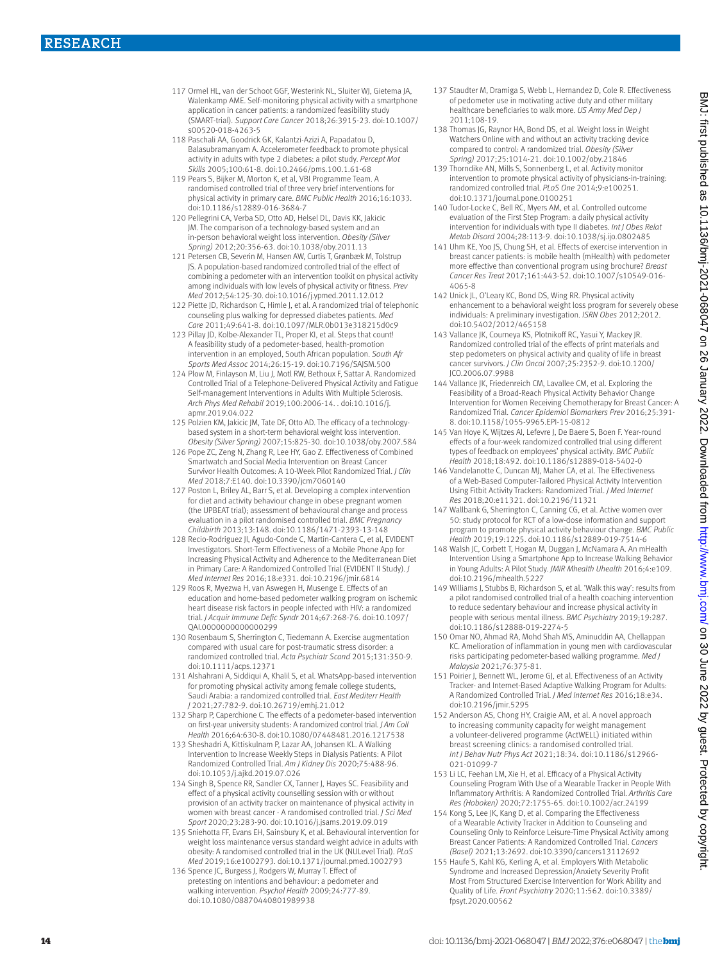- 117 Ormel HL, van der Schoot GGF, Westerink NL, Sluiter WJ, Gietema JA, Walenkamp AME. Self-monitoring physical activity with a smartphone application in cancer patients: a randomized feasibility study (SMART-trial). *Support Care Cancer* 2018;26:3915-23. doi:10.1007/ s00520-018-4263-5
- 118 Paschali AA, Goodrick GK, Kalantzi-Azizi A, Papadatou D, Balasubramanyam A. Accelerometer feedback to promote physical activity in adults with type 2 diabetes: a pilot study. *Percept Mot Skills* 2005;100:61-8. doi:10.2466/pms.100.1.61-68
- 119 Pears S, Bijker M, Morton K, et al, VBI Programme Team. A randomised controlled trial of three very brief interventions for physical activity in primary care. *BMC Public Health* 2016;16:1033. doi:10.1186/s12889-016-3684-7
- 120 Pellegrini CA, Verba SD, Otto AD, Helsel DL, Davis KK, Jakicic JM. The comparison of a technology-based system and an in-person behavioral weight loss intervention. *Obesity (Silver Spring)* 2012;20:356-63. doi:10.1038/oby.2011.13
- 121 Petersen CB, Severin M, Hansen AW, Curtis T, Grønbæk M, Tolstrup JS. A population-based randomized controlled trial of the effect of combining a pedometer with an intervention toolkit on physical activity among individuals with low levels of physical activity or fitness. *Prev Med* 2012;54:125-30. doi:10.1016/j.ypmed.2011.12.012
- 122 Piette JD, Richardson C, Himle J, et al. A randomized trial of telephonic counseling plus walking for depressed diabetes patients. *Med Care* 2011;49:641-8. doi:10.1097/MLR.0b013e318215d0c9
- 123 Pillay JD, Kolbe-Alexander TL, Proper KI, et al. Steps that count! A feasibility study of a pedometer-based, health-promotion intervention in an employed, South African population. *South Afr Sports Med Assoc* 2014;26:15-19. doi:10.7196/SAJSM.500
- 124 Plow M, Finlayson M, Liu J, Motl RW, Bethoux F, Sattar A. Randomized Controlled Trial of a Telephone-Delivered Physical Activity and Fatigue Self-management Interventions in Adults With Multiple Sclerosis. *Arch Phys Med Rehabil* 2019;100:2006-14. . doi:10.1016/j. apmr.2019.04.022
- 125 Polzien KM, Jakicic JM, Tate DF, Otto AD. The efficacy of a technologybased system in a short-term behavioral weight loss intervention. *Obesity (Silver Spring)* 2007;15:825-30. doi:10.1038/oby.2007.584
- 126 Pope ZC, Zeng N, Zhang R, Lee HY, Gao Z. Effectiveness of Combined Smartwatch and Social Media Intervention on Breast Cancer Survivor Health Outcomes: A 10-Week Pilot Randomized Trial. *J Clin Med* 2018;7:E140. doi:10.3390/jcm7060140
- 127 Poston L, Briley AL, Barr S, et al. Developing a complex intervention for diet and activity behaviour change in obese pregnant women (the UPBEAT trial); assessment of behavioural change and process evaluation in a pilot randomised controlled trial. *BMC Pregnancy Childbirth* 2013;13:148. doi:10.1186/1471-2393-13-148
- 128 Recio-Rodriguez JI, Agudo-Conde C, Martin-Cantera C, et al, EVIDENT Investigators. Short-Term Effectiveness of a Mobile Phone App for Increasing Physical Activity and Adherence to the Mediterranean Diet in Primary Care: A Randomized Controlled Trial (EVIDENT II Study). *J Med Internet Res* 2016;18:e331. doi:10.2196/jmir.6814
- 129 Roos R, Myezwa H, van Aswegen H, Musenge E. Effects of an education and home-based pedometer walking program on ischemic heart disease risk factors in people infected with HIV: a randomized trial. *J Acquir Immune Defic Syndr* 2014;67:268-76. doi:10.1097/ QAI.0000000000000299
- 130 Rosenbaum S, Sherrington C, Tiedemann A. Exercise augmentation compared with usual care for post-traumatic stress disorder: a randomized controlled trial. *Acta Psychiatr Scand* 2015;131:350-9. doi:10.1111/acps.12371
- 131 Alshahrani A, Siddiqui A, Khalil S, et al. WhatsApp-based intervention for promoting physical activity among female college students Saudi Arabia: a randomized controlled trial. *East Mediterr Health J* 2021;27:782-9. doi:10.26719/emhj.21.012
- 132 Sharp P, Caperchione C. The effects of a pedometer-based intervention on first-year university students: A randomized control trial. *J Am Coll Health* 2016;64:630-8. doi:10.1080/07448481.2016.1217538
- 133 Sheshadri A, Kittiskulnam P, Lazar AA, Johansen KL. A Walking Intervention to Increase Weekly Steps in Dialysis Patients: A Pilot Randomized Controlled Trial. *Am J Kidney Dis* 2020;75:488-96. doi:10.1053/j.ajkd.2019.07.026
- 134 Singh B, Spence RR, Sandler CX, Tanner J, Hayes SC. Feasibility and effect of a physical activity counselling session with or without provision of an activity tracker on maintenance of physical activity in women with breast cancer - A randomised controlled trial. *J Sci Med Sport* 2020;23:283-90. doi:10.1016/j.jsams.2019.09.019
- 135 Sniehotta FF, Evans EH, Sainsbury K, et al. Behavioural intervention for weight loss maintenance versus standard weight advice in adults with obesity: A randomised controlled trial in the UK (NULevel Trial). *PLoS Med* 2019;16:e1002793. doi:10.1371/journal.pmed.1002793
- 136 Spence JC, Burgess J, Rodgers W, Murray T. Effect of pretesting on intentions and behaviour: a pedometer and walking intervention. *Psychol Health* 2009;24:777-89. doi:10.1080/08870440801989938
- 137 Staudter M, Dramiga S, Webb L, Hernandez D, Cole R. Effectiveness of pedometer use in motivating active duty and other military healthcare beneficiaries to walk more. *US Army Med Dep J*  2011;108-19.
- 138 Thomas JG, Raynor HA, Bond DS, et al. Weight loss in Weight Watchers Online with and without an activity tracking device compared to control: A randomized trial. *Obesity (Silver Spring)* 2017;25:1014-21. doi:10.1002/oby.21846
- 139 Thorndike AN, Mills S, Sonnenberg L, et al. Activity monitor intervention to promote physical activity of physicians-in-training: randomized controlled trial. *PLoS One* 2014;9:e100251. doi:10.1371/journal.pone.0100251
- 140 Tudor-Locke C, Bell RC, Myers AM, et al. Controlled outcome evaluation of the First Step Program: a daily physical activity intervention for individuals with type II diabetes. *Int J Obes Relat Metab Disord* 2004;28:113-9. doi:10.1038/sj.ijo.0802485
- 141 Uhm KE, Yoo JS, Chung SH, et al. Effects of exercise intervention in breast cancer patients: is mobile health (mHealth) with pedometer more effective than conventional program using brochure? *Breast Cancer Res Treat* 2017;161:443-52. doi:10.1007/s10549-016- 4065-8
- 142 Unick JL, O'Leary KC, Bond DS, Wing RR. Physical activity enhancement to a behavioral weight loss program for severely obese individuals: A preliminary investigation. *ISRN Obes* 2012;2012. doi:10.5402/2012/465158
- 143 Vallance JK, Courneya KS, Plotnikoff RC, Yasui Y, Mackey JR. Randomized controlled trial of the effects of print materials and step pedometers on physical activity and quality of life in breast cancer survivors. *J Clin Oncol* 2007;25:2352-9. doi:10.1200/ JCO.2006.07.9988
- 144 Vallance JK, Friedenreich CM, Lavallee CM, et al. Exploring the Feasibility of a Broad-Reach Physical Activity Behavior Change Intervention for Women Receiving Chemotherapy for Breast Cancer: A Randomized Trial. *Cancer Epidemiol Biomarkers Prev* 2016;25:391- 8. doi:10.1158/1055-9965.EPI-15-0812
- 145 Van Hoye K, Wijtzes AI, Lefevre J, De Baere S, Boen F. Year-round effects of a four-week randomized controlled trial using different types of feedback on employees' physical activity. *BMC Public Health* 2018;18:492. doi:10.1186/s12889-018-5402-0
- 146 Vandelanotte C, Duncan MJ, Maher CA, et al. The Effectiveness of a Web-Based Computer-Tailored Physical Activity Intervention Using Fitbit Activity Trackers: Randomized Trial. *J Med Internet Res* 2018;20:e11321. doi:10.2196/11321
- 147 Wallbank G, Sherrington C, Canning CG, et al. Active women over 50: study protocol for RCT of a low-dose information and support program to promote physical activity behaviour change. *BMC Public Health* 2019;19:1225. doi:10.1186/s12889-019-7514-6
- 148 Walsh JC, Corbett T, Hogan M, Duggan J, McNamara A. An mHealth Intervention Using a Smartphone App to Increase Walking Behavior in Young Adults: A Pilot Study. *JMIR Mhealth Uhealth* 2016;4:e109. doi:10.2196/mhealth.5227
- 149 Williams J, Stubbs B, Richardson S, et al. 'Walk this way': results from a pilot randomised controlled trial of a health coaching intervention to reduce sedentary behaviour and increase physical activity in people with serious mental illness. *BMC Psychiatry* 2019;19:287. doi:10.1186/s12888-019-2274-5
- 150 Omar NO, Ahmad RA, Mohd Shah MS, Aminuddin AA, Chellappan KC. Amelioration of inflammation in young men with cardiovascular risks participating pedometer-based walking programme. *Med J Malaysia* 2021;76:375-81.
- 151 Poirier J, Bennett WL, Jerome GJ, et al. Effectiveness of an Activity Tracker- and Internet-Based Adaptive Walking Program for Adults: A Randomized Controlled Trial. *J Med Internet Res* 2016;18:e34. doi:10.2196/jmir.5295
- 152 Anderson AS, Chong HY, Craigie AM, et al. A novel approach to increasing community capacity for weight management a volunteer-delivered programme (ActWELL) initiated within breast screening clinics: a randomised controlled trial. *Int J Behav Nutr Phys Act* 2021;18:34. doi:10.1186/s12966- 021-01099-7
- 153 Li LC, Feehan LM, Xie H, et al. Efficacy of a Physical Activity Counseling Program With Use of a Wearable Tracker in People With Inflammatory Arthritis: A Randomized Controlled Trial. *Arthritis Care Res (Hoboken)* 2020;72:1755-65. doi:10.1002/acr.24199
- 154 Kong S, Lee JK, Kang D, et al. Comparing the Effectiveness of a Wearable Activity Tracker in Addition to Counseling and Counseling Only to Reinforce Leisure-Time Physical Activity among Breast Cancer Patients: A Randomized Controlled Trial. *Cancers (Basel)* 2021;13:2692. doi:10.3390/cancers13112692
- 155 Haufe S, Kahl KG, Kerling A, et al. Employers With Metabolic Syndrome and Increased Depression/Anxiety Severity Profit Most From Structured Exercise Intervention for Work Ability and Quality of Life. *Front Psychiatry* 2020;11:562. doi:10.3389/ fpsyt.2020.00562